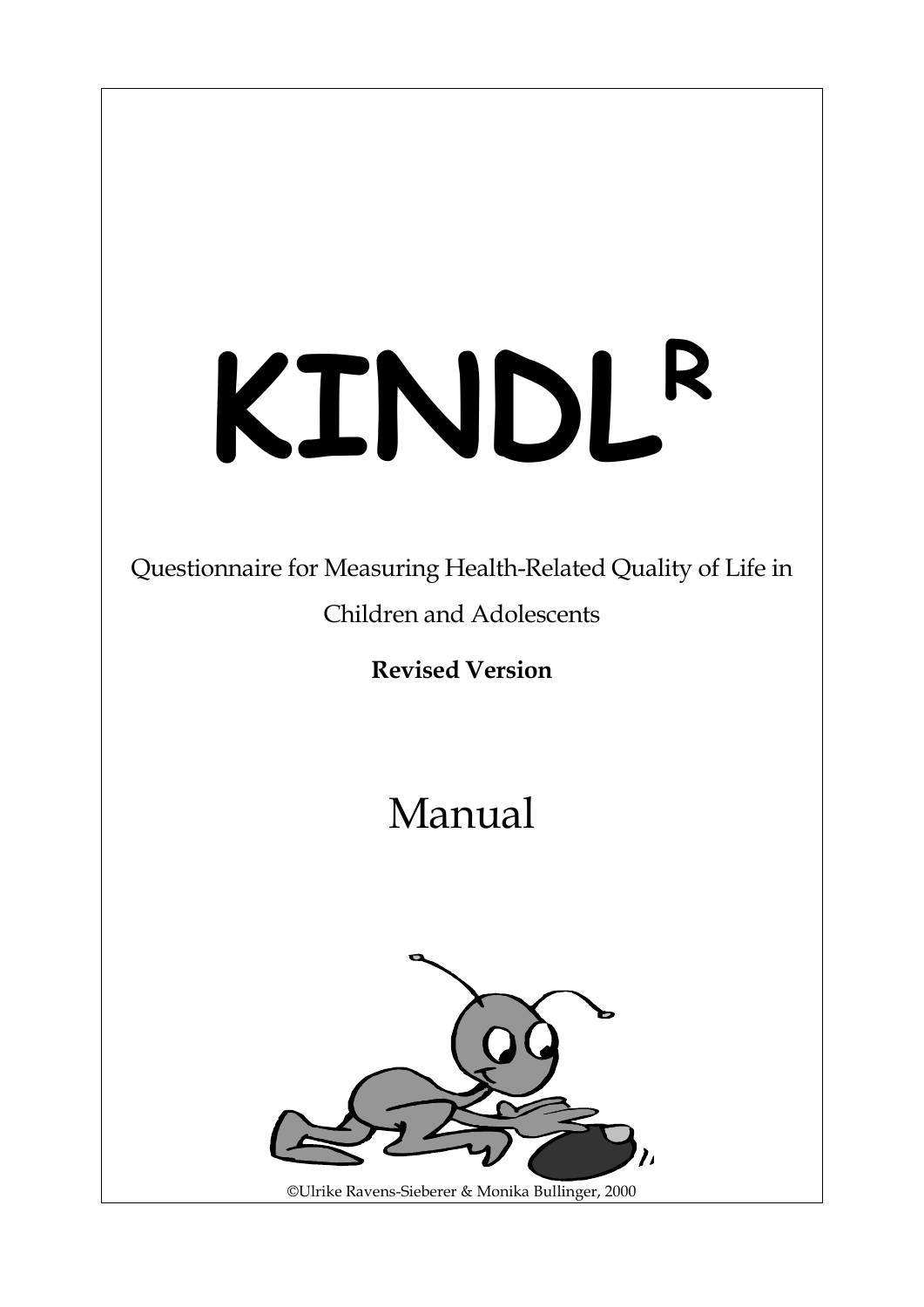# **KINDL<sup>R</sup>**

# Questionnaire for Measuring Health-Related Quality of Life in Children and Adolescents

**Revised Version**

# Manual



©Ulrike Ravens-Sieberer & Monika Bullinger, 2000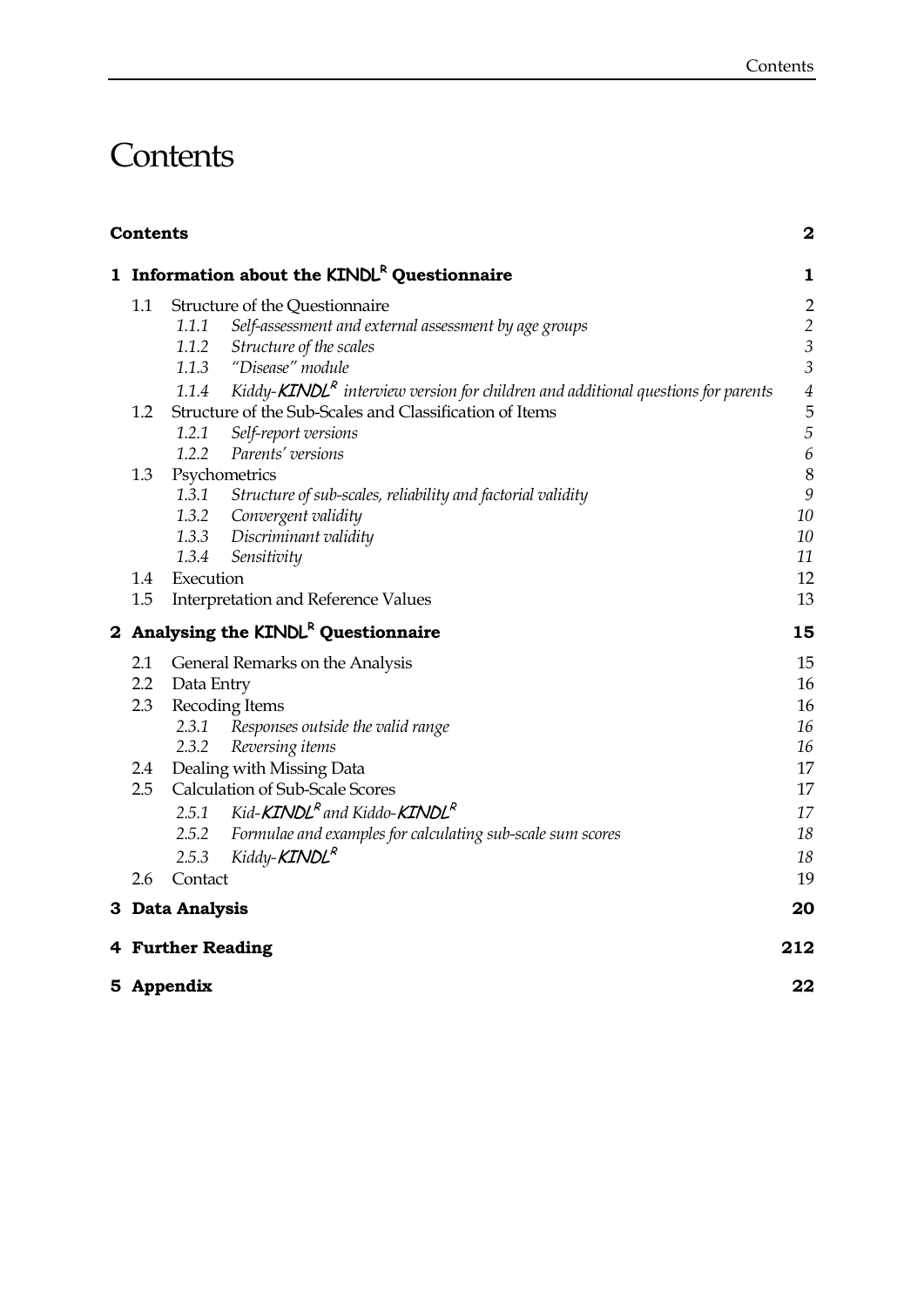# **Contents**

| <b>Contents</b> |                                                                                              | $\bf{2}$         |
|-----------------|----------------------------------------------------------------------------------------------|------------------|
|                 | 1 Information about the KINDL <sup>R</sup> Questionnaire                                     | $\mathbf{1}$     |
| 1.1             | Structure of the Questionnaire                                                               | $\overline{2}$   |
|                 | 1.1.1<br>Self-assessment and external assessment by age groups                               | $\overline{c}$   |
|                 | 1.1.2<br>Structure of the scales                                                             | $\mathfrak{Z}$   |
|                 | 1.1.3 "Disease" module                                                                       | $\mathfrak{Z}$   |
|                 | Kiddy- $KINDLR$ interview version for children and additional questions for parents<br>1.1.4 | $\sqrt{4}$       |
| 1.2             | Structure of the Sub-Scales and Classification of Items                                      | 5                |
|                 | Self-report versions<br>1.2.1                                                                | 5                |
|                 | 1.2.2<br>Parents' versions                                                                   | $\boldsymbol{6}$ |
| 1.3             | Psychometrics                                                                                | $\boldsymbol{8}$ |
|                 | 1.3.1<br>Structure of sub-scales, reliability and factorial validity                         | 9                |
|                 | 1.3.2<br>Convergent validity                                                                 | 10               |
|                 | 1.3.3 Discriminant validity                                                                  | 10               |
|                 | 1.3.4<br>Sensitivity                                                                         | 11               |
| 1.4             | Execution                                                                                    | 12               |
| 1.5             | <b>Interpretation and Reference Values</b>                                                   | 13               |
|                 | 2 Analysing the KINDL <sup>R</sup> Questionnaire                                             | 15               |
| 2.1             | General Remarks on the Analysis                                                              | 15               |
| 2.2             | Data Entry                                                                                   | 16               |
| 2.3             | Recoding Items                                                                               | 16               |
|                 | Responses outside the valid range<br>2.3.1                                                   | 16               |
|                 | 2.3.2<br>Reversing items                                                                     | 16               |
| 2.4             | Dealing with Missing Data                                                                    | 17               |
| 2.5             | Calculation of Sub-Scale Scores                                                              | 17               |
|                 | 2.5.1 Kid- <b>KINDL<sup>R</sup></b> and Kiddo- <b>KINDL<sup>R</sup></b>                      | 17               |
|                 | Formulae and examples for calculating sub-scale sum scores<br>2.5.2                          | 18               |
|                 | Kiddy- <b>KINDL<sup>R</sup></b><br>2.5.3                                                     | 18               |
| 2.6             | Contact                                                                                      | 19               |
|                 | 3 Data Analysis                                                                              | 20               |
|                 | 4 Further Reading                                                                            | 212              |
|                 | 5 Appendix                                                                                   | 22               |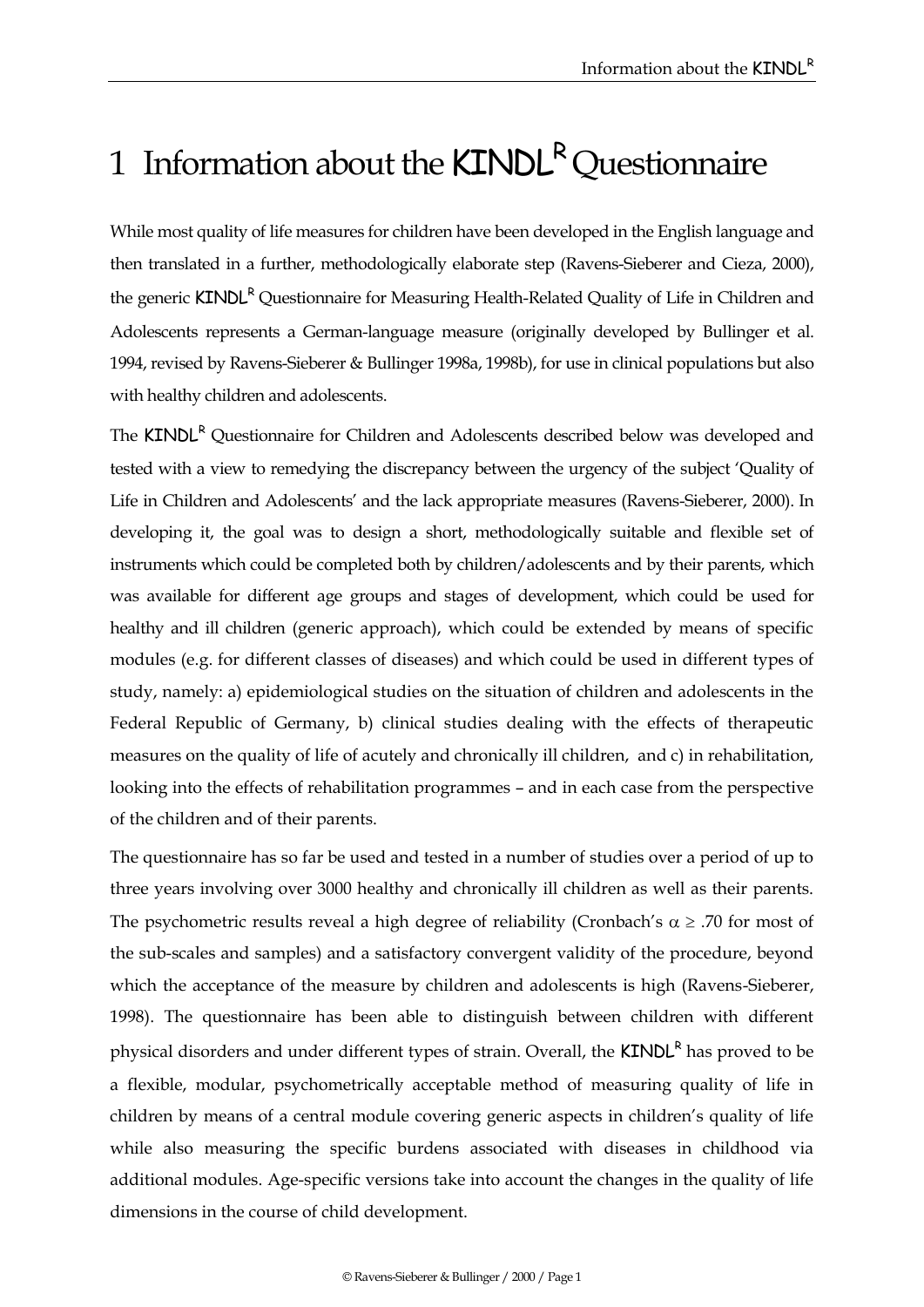# 1 Information about the KINDL<sup>R</sup> Questionnaire

While most quality of life measures for children have been developed in the English language and then translated in a further, methodologically elaborate step (Ravens-Sieberer and Cieza, 2000), the generic KINDL<sup>R</sup> Questionnaire for Measuring Health-Related Quality of Life in Children and Adolescents represents a German-language measure (originally developed by Bullinger et al. 1994, revised by Ravens-Sieberer & Bullinger 1998a, 1998b), for use in clinical populations but also with healthy children and adolescents.

The KINDL<sup>R</sup> Questionnaire for Children and Adolescents described below was developed and tested with a view to remedying the discrepancy between the urgency of the subject 'Quality of Life in Children and Adolescents' and the lack appropriate measures (Ravens-Sieberer, 2000). In developing it, the goal was to design a short, methodologically suitable and flexible set of instruments which could be completed both by children/adolescents and by their parents, which was available for different age groups and stages of development, which could be used for healthy and ill children (generic approach), which could be extended by means of specific modules (e.g. for different classes of diseases) and which could be used in different types of study, namely: a) epidemiological studies on the situation of children and adolescents in the Federal Republic of Germany, b) clinical studies dealing with the effects of therapeutic measures on the quality of life of acutely and chronically ill children, and c) in rehabilitation, looking into the effects of rehabilitation programmes – and in each case from the perspective of the children and of their parents.

The questionnaire has so far be used and tested in a number of studies over a period of up to three years involving over 3000 healthy and chronically ill children as well as their parents. The psychometric results reveal a high degree of reliability (Cronbach's  $\alpha \geq .70$  for most of the sub-scales and samples) and a satisfactory convergent validity of the procedure, beyond which the acceptance of the measure by children and adolescents is high (Ravens-Sieberer, 1998). The questionnaire has been able to distinguish between children with different physical disorders and under different types of strain. Overall, the KINDL<sup>R</sup> has proved to be a flexible, modular, psychometrically acceptable method of measuring quality of life in children by means of a central module covering generic aspects in children's quality of life while also measuring the specific burdens associated with diseases in childhood via additional modules. Age-specific versions take into account the changes in the quality of life dimensions in the course of child development.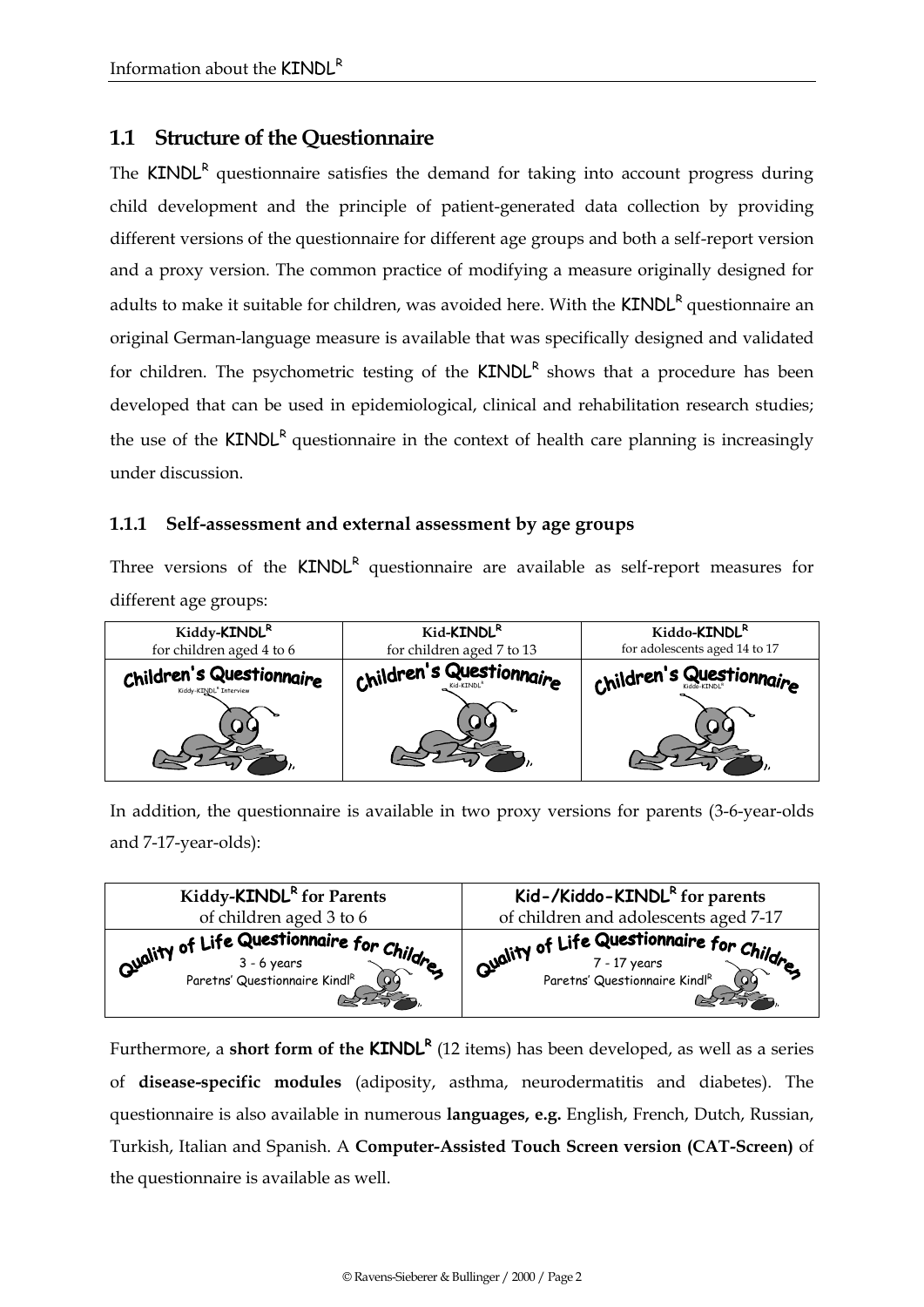## **1.1 Structure of the Questionnaire**

The  $KINDL<sup>R</sup>$  questionnaire satisfies the demand for taking into account progress during child development and the principle of patient-generated data collection by providing different versions of the questionnaire for different age groups and both a self-report version and a proxy version. The common practice of modifying a measure originally designed for adults to make it suitable for children, was avoided here. With the **KINDL<sup>R</sup> questionnaire an** original German-language measure is available that was specifically designed and validated for children. The psychometric testing of the  $KINDL<sup>R</sup>$  shows that a procedure has been developed that can be used in epidemiological, clinical and rehabilitation research studies; the use of the  $KINDL<sup>R</sup>$  questionnaire in the context of health care planning is increasingly under discussion.

#### **1.1.1 Self-assessment and external assessment by age groups**

Three versions of the KINDL<sup>R</sup> questionnaire are available as self-report measures for different age groups:

| Kiddy-KINDL <sup>R</sup>                                       | Kid- <b>KINDL</b> <sup>R</sup> | Kiddo-KINDL <sup>R</sup>      |
|----------------------------------------------------------------|--------------------------------|-------------------------------|
| for children aged 4 to 6                                       | for children aged 7 to 13      | for adolescents aged 14 to 17 |
| Children's Questionnaire<br>Kiddy-KINDL <sup>R</sup> Interview | Children's Questionnaire       | Children's Questionnaire      |

In addition, the questionnaire is available in two proxy versions for parents (3-6-year-olds and 7-17-year-olds):



Furthermore, a **short form of the KINDL<sup>R</sup>** (12 items) has been developed, as well as a series of **disease-specific modules** (adiposity, asthma, neurodermatitis and diabetes). The questionnaire is also available in numerous **languages, e.g.** English, French, Dutch, Russian, Turkish, Italian and Spanish. A **Computer-Assisted Touch Screen version (CAT-Screen)** of the questionnaire is available as well.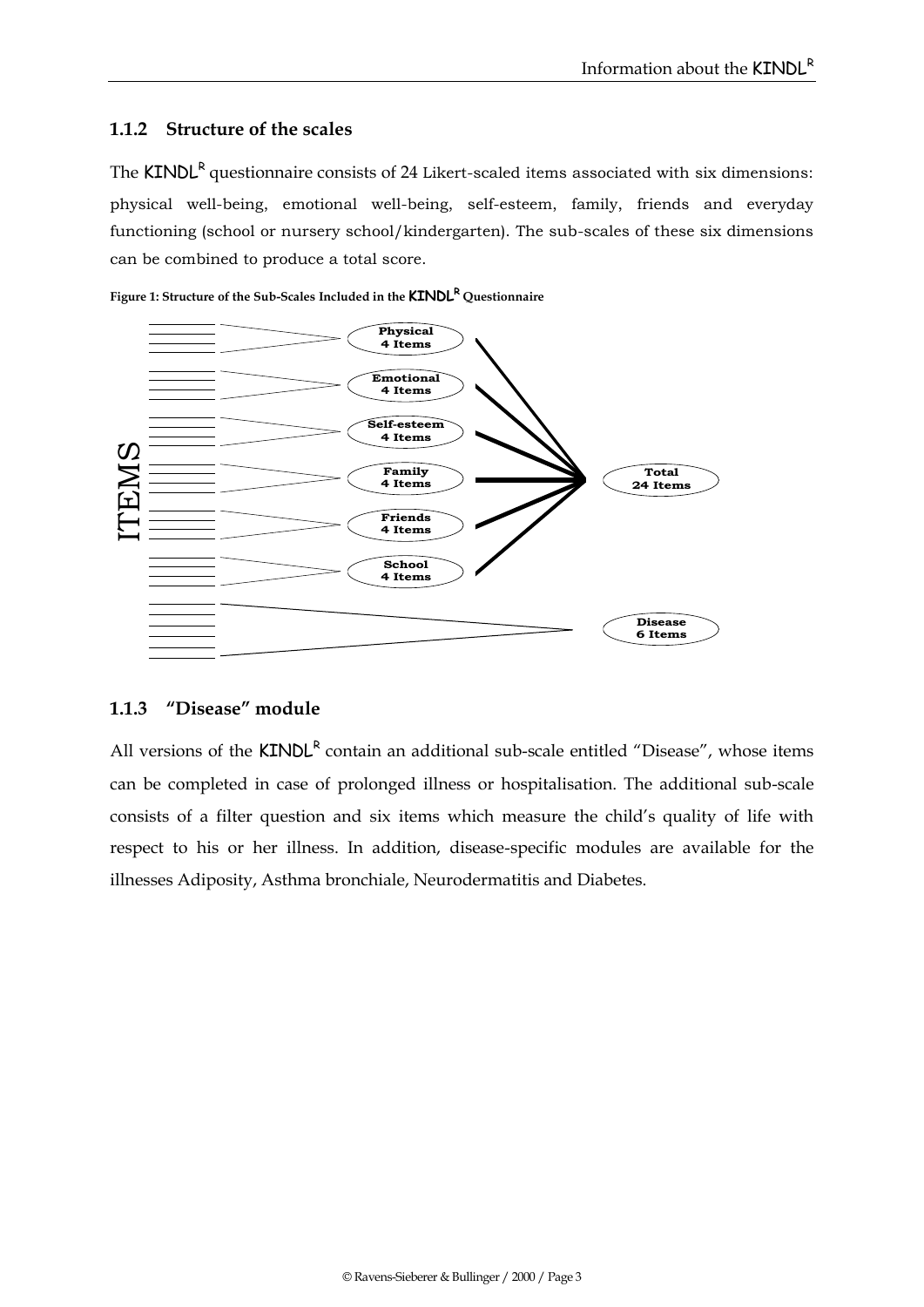#### **1.1.2 Structure of the scales**

The  $KINDL<sup>R</sup>$  questionnaire consists of 24 Likert-scaled items associated with six dimensions: physical well-being, emotional well-being, self-esteem, family, friends and everyday functioning (school or nursery school/kindergarten). The sub-scales of these six dimensions can be combined to produce a total score.





#### **1.1.3 "Disease" module**

All versions of the KINDL<sup>R</sup> contain an additional sub-scale entitled "Disease", whose items can be completed in case of prolonged illness or hospitalisation. The additional sub-scale consists of a filter question and six items which measure the child's quality of life with respect to his or her illness. In addition, disease-specific modules are available for the illnesses Adiposity, Asthma bronchiale, Neurodermatitis and Diabetes.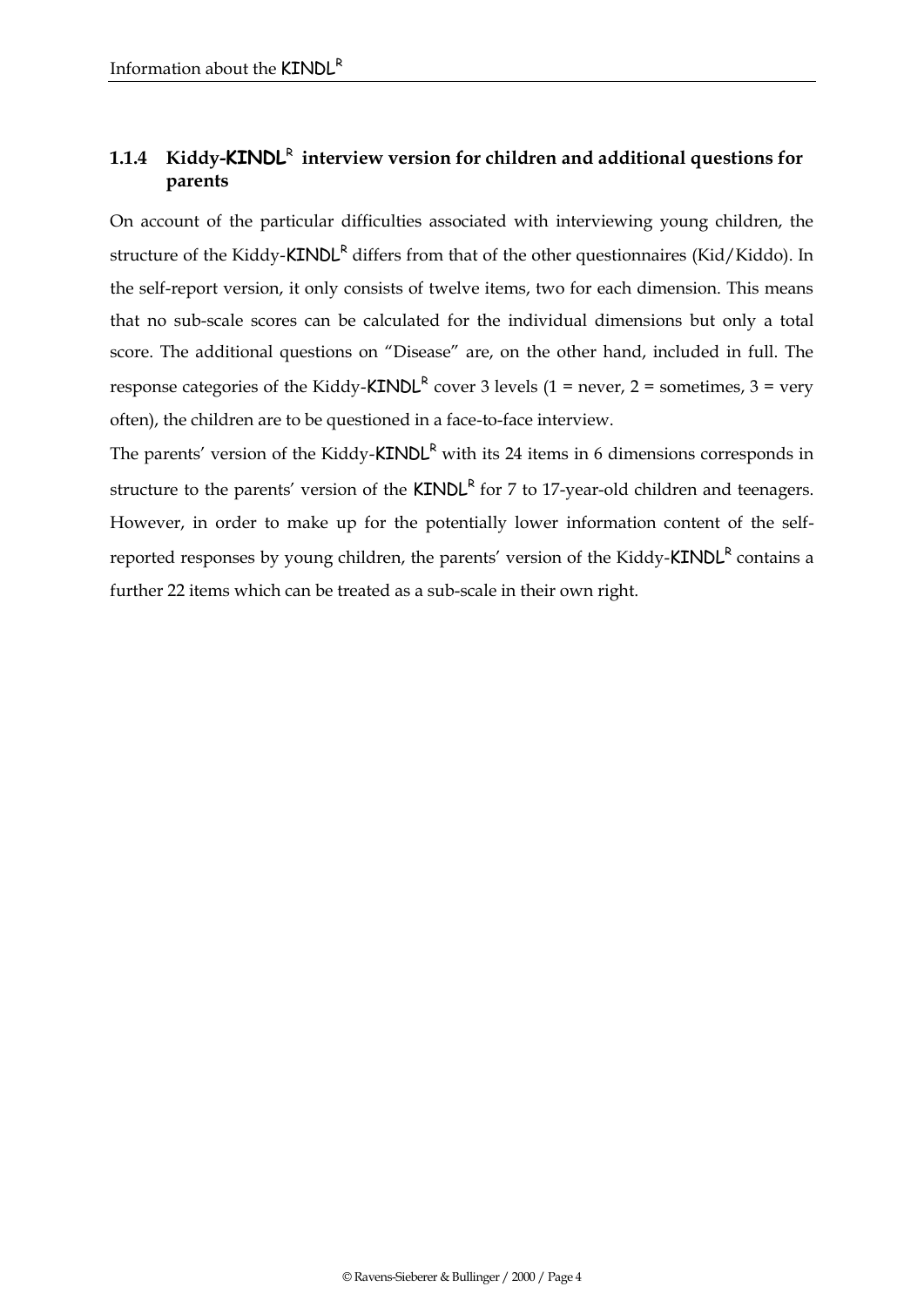## 1.1.4 Kiddy-**KINDL<sup>R</sup> interview version for children and additional questions for parents**

On account of the particular difficulties associated with interviewing young children, the structure of the Kiddy-KINDL<sup>R</sup> differs from that of the other questionnaires (Kid/Kiddo). In the self-report version, it only consists of twelve items, two for each dimension. This means that no sub-scale scores can be calculated for the individual dimensions but only a total score. The additional questions on "Disease" are, on the other hand, included in full. The response categories of the Kiddy-**KINDL<sup>R</sup>** cover 3 levels (1 = never, 2 = sometimes, 3 = very often), the children are to be questioned in a face-to-face interview.

The parents' version of the Kiddy- $KINDL<sup>R</sup>$  with its 24 items in 6 dimensions corresponds in structure to the parents' version of the  $KINDL<sup>R</sup>$  for 7 to 17-year-old children and teenagers. However, in order to make up for the potentially lower information content of the selfreported responses by young children, the parents' version of the Kiddy-**KINDL<sup>R</sup>** contains a further 22 items which can be treated as a sub-scale in their own right.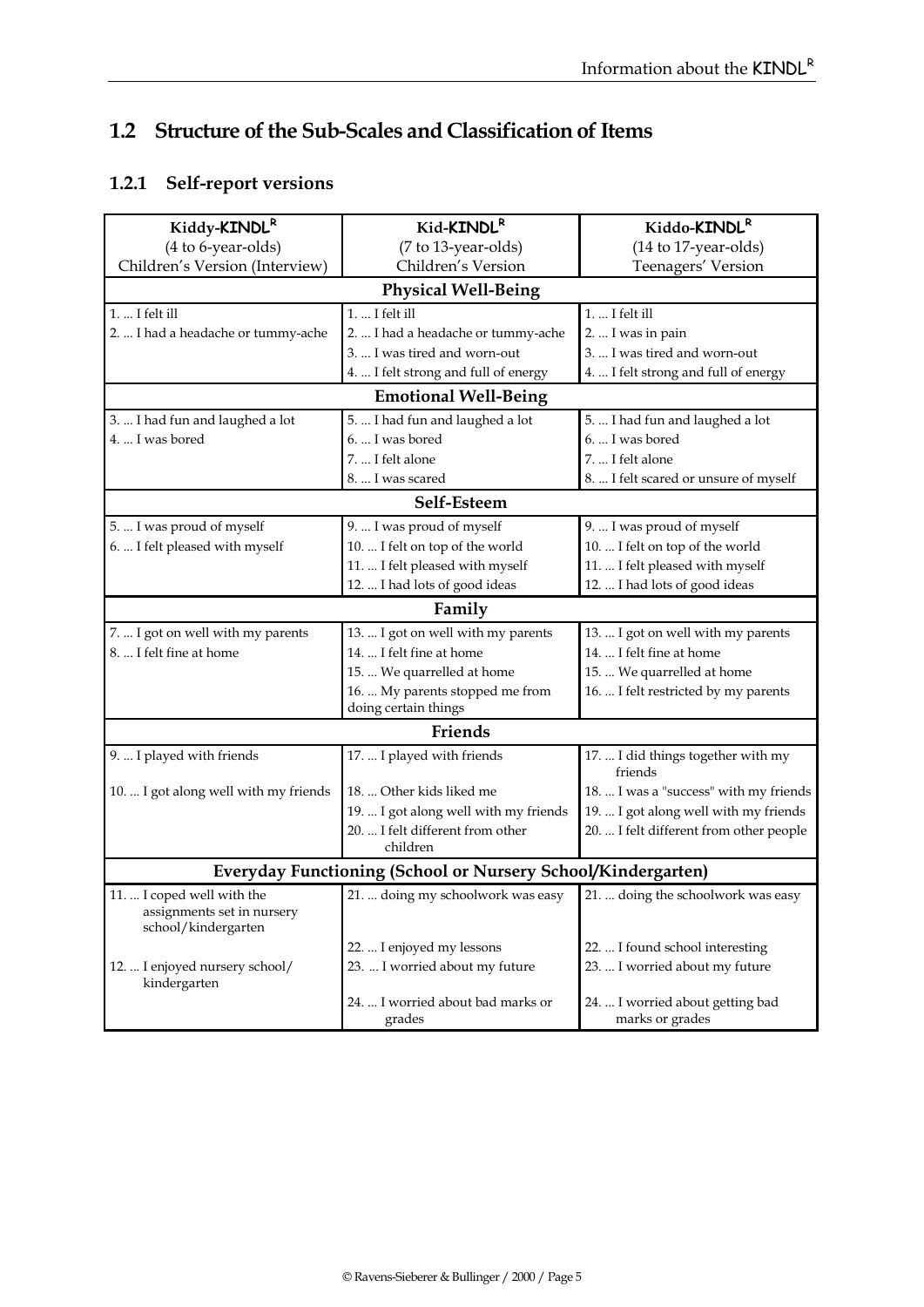# **1.2 Structure of the Sub-Scales and Classification of Items**

# **1.2.1 Self-report versions**

| Kid-KINDLR                                                   | Kiddo-KINDL <sup>R</sup>                                                                                                 |  |  |
|--------------------------------------------------------------|--------------------------------------------------------------------------------------------------------------------------|--|--|
| (7 to 13-year-olds)                                          | (14 to 17-year-olds)                                                                                                     |  |  |
| Children's Version                                           | Teenagers' Version                                                                                                       |  |  |
| <b>Physical Well-Being</b>                                   |                                                                                                                          |  |  |
| 1.  I felt ill                                               | 1.  I felt ill                                                                                                           |  |  |
| 2.  I had a headache or tummy-ache                           | 2.  I was in pain                                                                                                        |  |  |
| 3.  I was tired and worn-out                                 | 3.  I was tired and worn-out                                                                                             |  |  |
| 4.  I felt strong and full of energy                         | 4.  I felt strong and full of energy                                                                                     |  |  |
| <b>Emotional Well-Being</b>                                  |                                                                                                                          |  |  |
| 5.  I had fun and laughed a lot                              | 5.  I had fun and laughed a lot                                                                                          |  |  |
| 6.  I was bored                                              | 6.  I was bored                                                                                                          |  |  |
| 7.  I felt alone                                             | 7.  I felt alone                                                                                                         |  |  |
| 8.  I was scared                                             | 8.  I felt scared or unsure of myself                                                                                    |  |  |
| Self-Esteem                                                  |                                                                                                                          |  |  |
|                                                              | 9.  I was proud of myself                                                                                                |  |  |
|                                                              | 10.  I felt on top of the world                                                                                          |  |  |
| 11.  I felt pleased with myself                              | 11.  I felt pleased with myself                                                                                          |  |  |
| 12.  I had lots of good ideas                                | 12.  I had lots of good ideas                                                                                            |  |  |
| Family                                                       |                                                                                                                          |  |  |
| 13.  I got on well with my parents                           | 13.  I got on well with my parents                                                                                       |  |  |
| 14.  I felt fine at home                                     | 14.  I felt fine at home                                                                                                 |  |  |
| 15.  We quarrelled at home                                   | 15.  We quarrelled at home                                                                                               |  |  |
| 16.  My parents stopped me from                              | 16.  I felt restricted by my parents                                                                                     |  |  |
|                                                              |                                                                                                                          |  |  |
| Friends                                                      |                                                                                                                          |  |  |
| 17.  I played with friends                                   | 17.  I did things together with my<br>friends                                                                            |  |  |
| 18.  Other kids liked me                                     | 18.  I was a "success" with my friends                                                                                   |  |  |
| 19.  I got along well with my friends                        | 19.  I got along well with my friends                                                                                    |  |  |
| children                                                     | 20.  I felt different from other people                                                                                  |  |  |
| Everyday Functioning (School or Nursery School/Kindergarten) |                                                                                                                          |  |  |
| 21.  doing my schoolwork was easy                            | 21.  doing the schoolwork was easy                                                                                       |  |  |
| 22.  I enjoyed my lessons                                    | 22.  I found school interesting                                                                                          |  |  |
| 23.  I worried about my future                               | 23.  I worried about my future                                                                                           |  |  |
| 24.  I worried about bad marks or<br>grades                  | 24.  I worried about getting bad<br>marks or grades                                                                      |  |  |
|                                                              | 9.  I was proud of myself<br>10.  I felt on top of the world<br>doing certain things<br>20.  I felt different from other |  |  |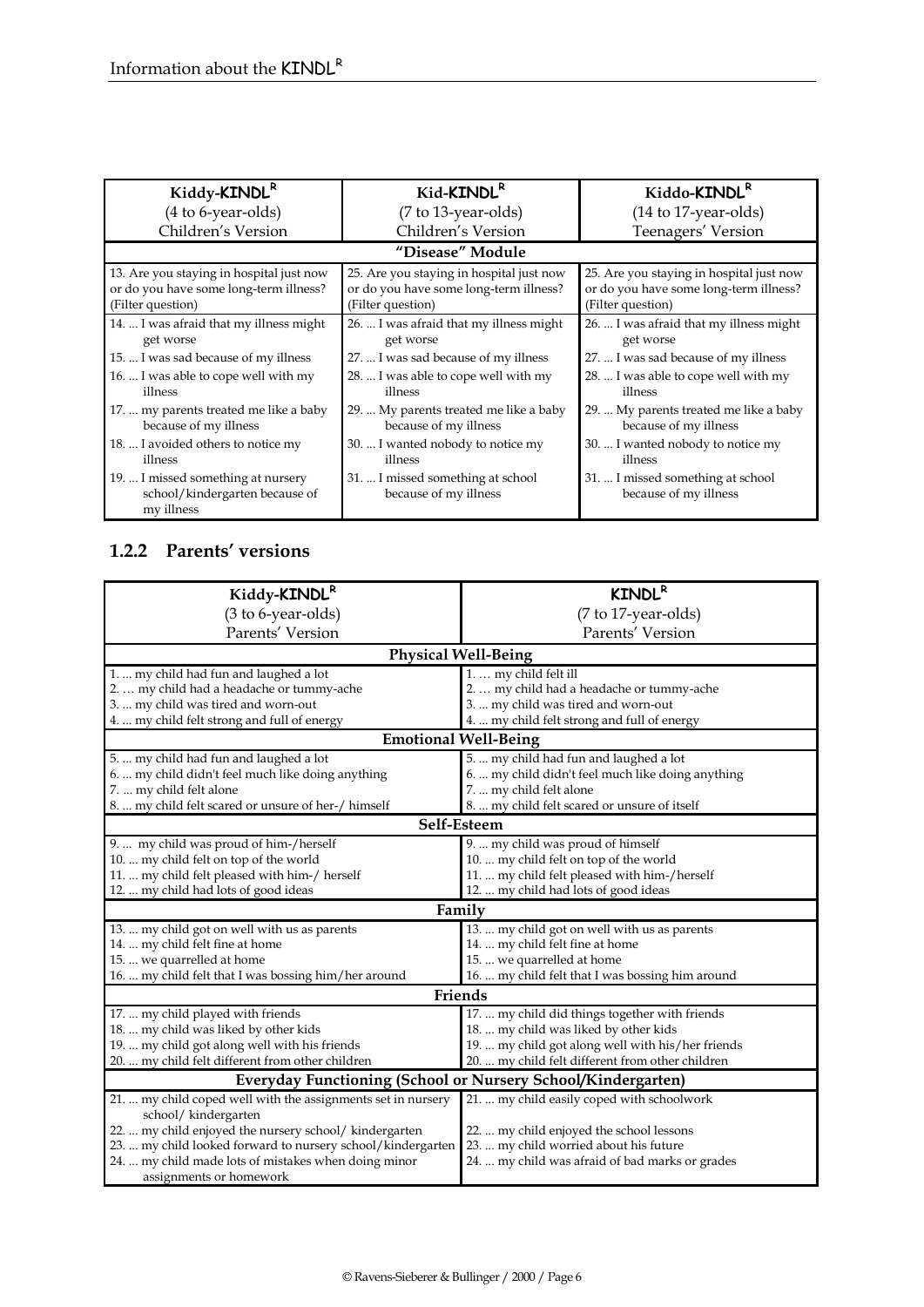| Kiddy-KINDL <sup>R</sup>                                                                                | Kid-KINDL <sup>R</sup>                                                                                  | Kiddo-KINDL <sup>R</sup>                                                                                |
|---------------------------------------------------------------------------------------------------------|---------------------------------------------------------------------------------------------------------|---------------------------------------------------------------------------------------------------------|
| (4 to 6-year-olds)                                                                                      | $(7 to 13-year-olds)$                                                                                   | $(14 \text{ to } 17$ -year-olds)                                                                        |
| Children's Version                                                                                      | Children's Version                                                                                      | Teenagers' Version                                                                                      |
|                                                                                                         | "Disease" Module                                                                                        |                                                                                                         |
| 13. Are you staying in hospital just now<br>or do you have some long-term illness?<br>(Filter question) | 25. Are you staying in hospital just now<br>or do you have some long-term illness?<br>(Filter question) | 25. Are you staying in hospital just now<br>or do you have some long-term illness?<br>(Filter question) |
| 14.  I was afraid that my illness might<br>get worse                                                    | 26.  I was afraid that my illness might<br>get worse                                                    | 26.  I was afraid that my illness might<br>get worse                                                    |
| 15.  I was sad because of my illness                                                                    | 27.  I was sad because of my illness                                                                    | 27.  I was sad because of my illness                                                                    |
| 16.  I was able to cope well with my<br>illness                                                         | 28.  I was able to cope well with my<br>illness                                                         | 28.  I was able to cope well with my<br>illness                                                         |
| 17.  my parents treated me like a baby<br>because of my illness                                         | 29.  My parents treated me like a baby<br>because of my illness                                         | 29.  My parents treated me like a baby<br>because of my illness                                         |
| 18.  I avoided others to notice my<br>illness                                                           | 30.  I wanted nobody to notice my<br>illness                                                            | 30.  I wanted nobody to notice my<br>illness                                                            |
| 19.  I missed something at nursery<br>school/kindergarten because of<br>my illness                      | 31.  I missed something at school<br>because of my illness                                              | 31.  I missed something at school<br>because of my illness                                              |

## **1.2.2 Parents' versions**

| Kiddy-KINDL <sup>R</sup>                                            | <b>KINDL<sup>R</sup></b>                          |  |  |  |  |  |
|---------------------------------------------------------------------|---------------------------------------------------|--|--|--|--|--|
| (3 to 6-year-olds)                                                  | (7 to 17-year-olds)                               |  |  |  |  |  |
| Parents' Version                                                    | Parents' Version                                  |  |  |  |  |  |
|                                                                     | <b>Physical Well-Being</b>                        |  |  |  |  |  |
| 1.  my child had fun and laughed a lot                              | 1.  my child felt ill                             |  |  |  |  |  |
| 2.  my child had a headache or tummy-ache                           | 2.  my child had a headache or tummy-ache         |  |  |  |  |  |
| 3.  my child was tired and worn-out                                 | 3.  my child was tired and worn-out               |  |  |  |  |  |
| 4.  my child felt strong and full of energy                         | 4.  my child felt strong and full of energy       |  |  |  |  |  |
|                                                                     | <b>Emotional Well-Being</b>                       |  |  |  |  |  |
| 5.  my child had fun and laughed a lot                              | 5.  my child had fun and laughed a lot            |  |  |  |  |  |
| 6.  my child didn't feel much like doing anything                   | 6.  my child didn't feel much like doing anything |  |  |  |  |  |
| 7.  my child felt alone                                             | 7.  my child felt alone                           |  |  |  |  |  |
| 8.  my child felt scared or unsure of her-/ himself                 | 8.  my child felt scared or unsure of itself      |  |  |  |  |  |
| Self-Esteem                                                         |                                                   |  |  |  |  |  |
| 9.  my child was proud of him-/herself                              | 9.  my child was proud of himself                 |  |  |  |  |  |
| 10.  my child felt on top of the world                              | 10.  my child felt on top of the world            |  |  |  |  |  |
| 11.  my child felt pleased with him-/ herself                       | 11.  my child felt pleased with him-/herself      |  |  |  |  |  |
| 12.  my child had lots of good ideas                                | 12.  my child had lots of good ideas              |  |  |  |  |  |
|                                                                     | Family                                            |  |  |  |  |  |
| 13.  my child got on well with us as parents                        | 13.  my child got on well with us as parents      |  |  |  |  |  |
| 14.  my child felt fine at home                                     | 14.  my child felt fine at home                   |  |  |  |  |  |
| 15.  we quarrelled at home                                          | 15.  we quarrelled at home                        |  |  |  |  |  |
| 16.  my child felt that I was bossing him/her around                | 16.  my child felt that I was bossing him around  |  |  |  |  |  |
|                                                                     | Friends                                           |  |  |  |  |  |
| 17.  my child played with friends                                   | 17.  my child did things together with friends    |  |  |  |  |  |
| 18.  my child was liked by other kids                               | 18.  my child was liked by other kids             |  |  |  |  |  |
| 19.  my child got along well with his friends                       | 19.  my child got along well with his/her friends |  |  |  |  |  |
| 20.  my child felt different from other children                    | 20.  my child felt different from other children  |  |  |  |  |  |
| <b>Everyday Functioning (School or Nursery School/Kindergarten)</b> |                                                   |  |  |  |  |  |
| 21.  my child coped well with the assignments set in nursery        | 21.  my child easily coped with schoolwork        |  |  |  |  |  |
| school/kindergarten                                                 |                                                   |  |  |  |  |  |
| 22.  my child enjoyed the nursery school/ kindergarten              | 22.  my child enjoyed the school lessons          |  |  |  |  |  |
| 23.  my child looked forward to nursery school/kindergarten         | 23.  my child worried about his future            |  |  |  |  |  |
| 24.  my child made lots of mistakes when doing minor                | 24.  my child was afraid of bad marks or grades   |  |  |  |  |  |
| assignments or homework                                             |                                                   |  |  |  |  |  |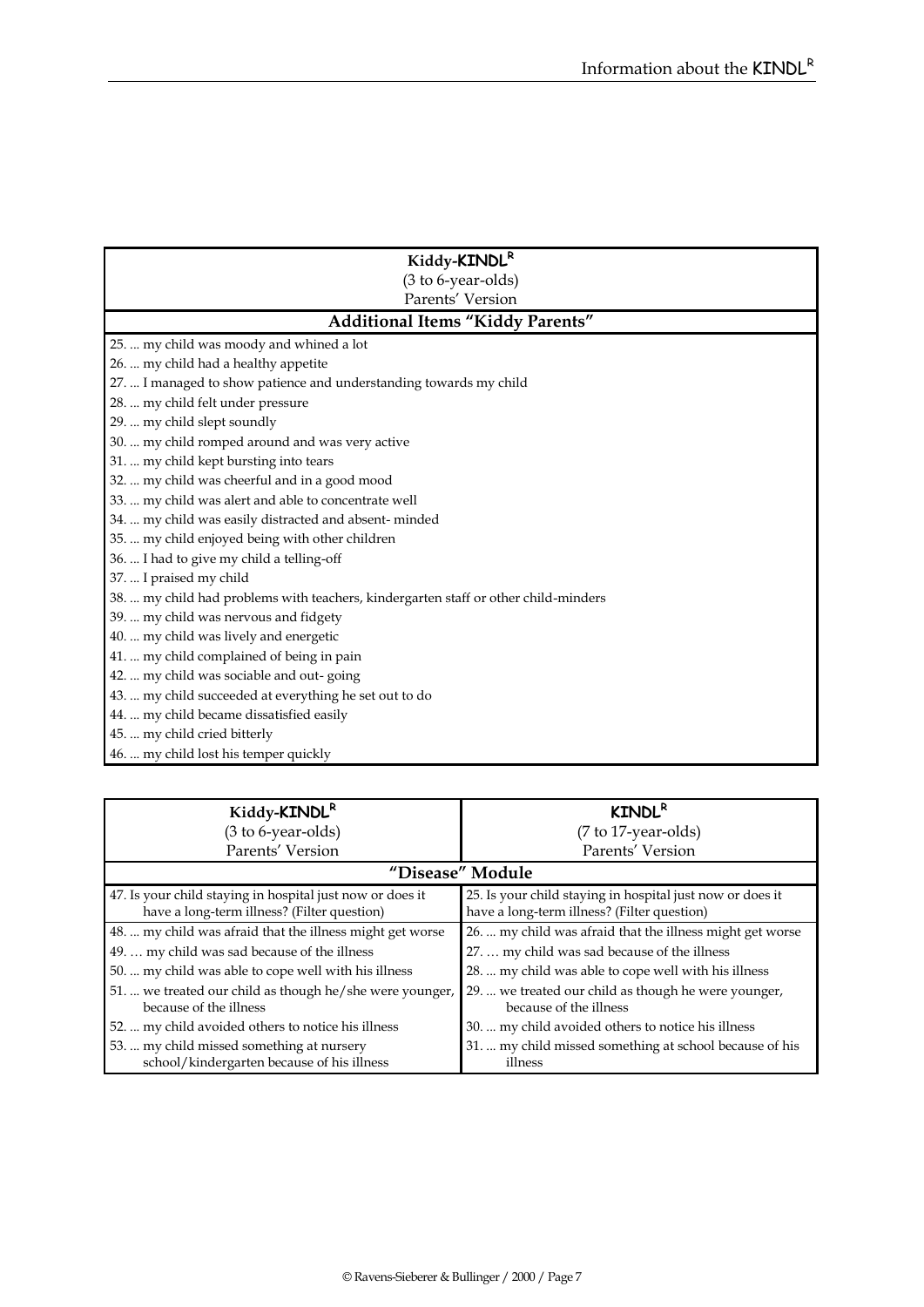| Kiddy-KINDLR                                                                        |  |  |  |  |  |  |
|-------------------------------------------------------------------------------------|--|--|--|--|--|--|
| (3 to 6-year-olds)                                                                  |  |  |  |  |  |  |
| Parents' Version                                                                    |  |  |  |  |  |  |
| <b>Additional Items "Kiddy Parents"</b>                                             |  |  |  |  |  |  |
| 25.  my child was moody and whined a lot                                            |  |  |  |  |  |  |
| 26.  my child had a healthy appetite                                                |  |  |  |  |  |  |
| 27.  I managed to show patience and understanding towards my child                  |  |  |  |  |  |  |
| 28.  my child felt under pressure                                                   |  |  |  |  |  |  |
| 29.  my child slept soundly                                                         |  |  |  |  |  |  |
| 30.  my child romped around and was very active                                     |  |  |  |  |  |  |
| 31.  my child kept bursting into tears                                              |  |  |  |  |  |  |
| 32.  my child was cheerful and in a good mood                                       |  |  |  |  |  |  |
| 33.  my child was alert and able to concentrate well                                |  |  |  |  |  |  |
| 34.  my child was easily distracted and absent-minded                               |  |  |  |  |  |  |
| 35.  my child enjoyed being with other children                                     |  |  |  |  |  |  |
| 36.  I had to give my child a telling-off                                           |  |  |  |  |  |  |
| 37.  I praised my child                                                             |  |  |  |  |  |  |
| 38.  my child had problems with teachers, kindergarten staff or other child-minders |  |  |  |  |  |  |
| 39.  my child was nervous and fidgety                                               |  |  |  |  |  |  |
| 40.  my child was lively and energetic                                              |  |  |  |  |  |  |
| 41.  my child complained of being in pain                                           |  |  |  |  |  |  |
| 42.  my child was sociable and out-going                                            |  |  |  |  |  |  |
| 43.  my child succeeded at everything he set out to do                              |  |  |  |  |  |  |
| 44.  my child became dissatisfied easily                                            |  |  |  |  |  |  |
| 45.  my child cried bitterly                                                        |  |  |  |  |  |  |
| 46.  my child lost his temper quickly                                               |  |  |  |  |  |  |

| Kiddy-KINDL <sup>R</sup>                                                                                 | <b>KINDL<sup>R</sup></b>                                                                                 |  |  |  |
|----------------------------------------------------------------------------------------------------------|----------------------------------------------------------------------------------------------------------|--|--|--|
| (3 to 6-year-olds)                                                                                       | (7 to 17-year-olds)                                                                                      |  |  |  |
| Parents' Version                                                                                         | Parents' Version                                                                                         |  |  |  |
|                                                                                                          | "Disease" Module                                                                                         |  |  |  |
| 47. Is your child staying in hospital just now or does it<br>have a long-term illness? (Filter question) | 25. Is your child staying in hospital just now or does it<br>have a long-term illness? (Filter question) |  |  |  |
| 48.  my child was afraid that the illness might get worse                                                | 26.  my child was afraid that the illness might get worse                                                |  |  |  |
| 49.  my child was sad because of the illness                                                             | 27.  my child was sad because of the illness                                                             |  |  |  |
| 50.  my child was able to cope well with his illness                                                     | 28.  my child was able to cope well with his illness                                                     |  |  |  |
| 51.  we treated our child as though he/she were younger,<br>because of the illness                       | 29.  we treated our child as though he were younger,<br>because of the illness                           |  |  |  |
| 52.  my child avoided others to notice his illness                                                       | 30.  my child avoided others to notice his illness                                                       |  |  |  |
| 53.  my child missed something at nursery                                                                | 31.  my child missed something at school because of his                                                  |  |  |  |
| school/kindergarten because of his illness                                                               | illness                                                                                                  |  |  |  |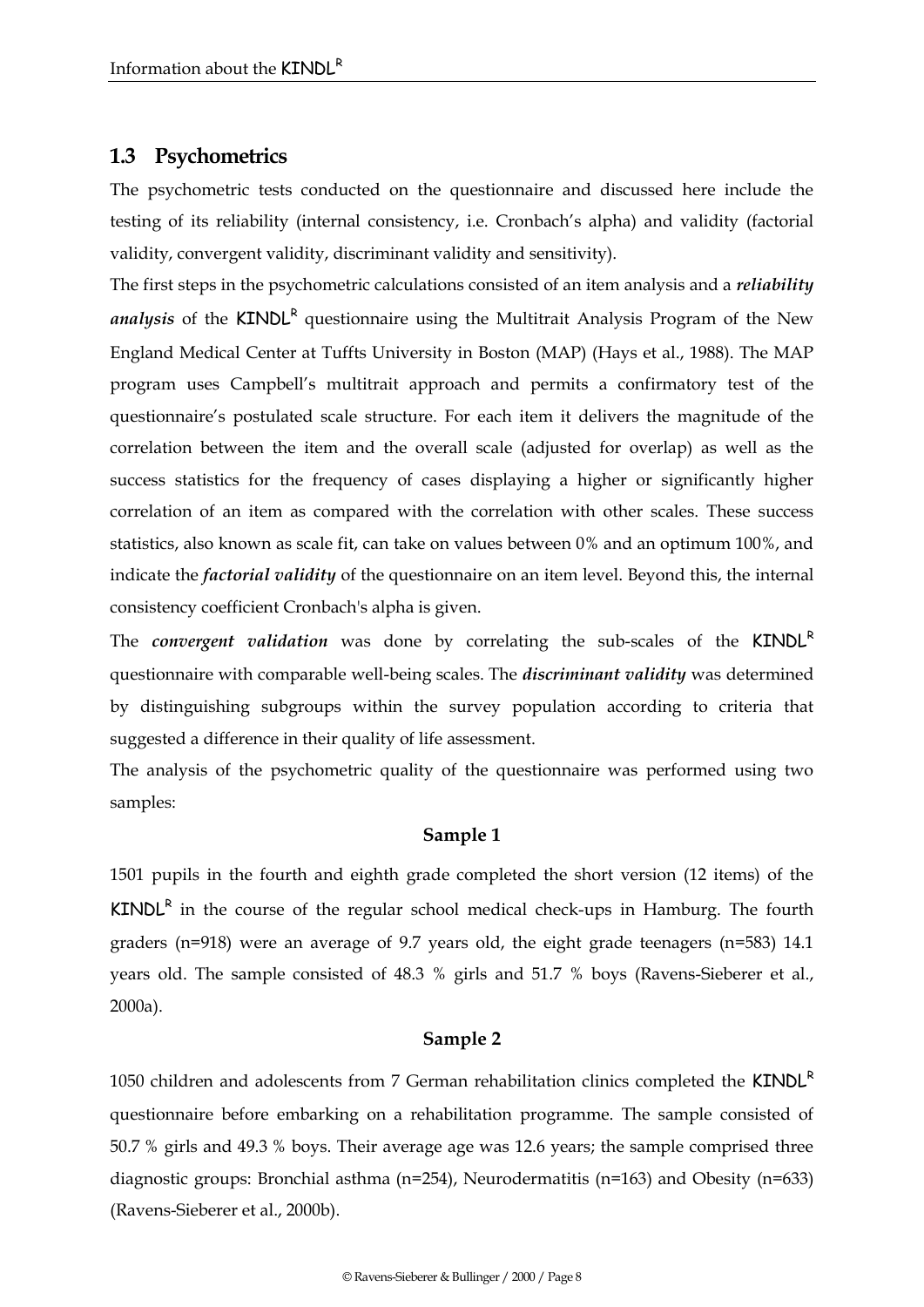#### **1.3 Psychometrics**

The psychometric tests conducted on the questionnaire and discussed here include the testing of its reliability (internal consistency, i.e. Cronbach's alpha) and validity (factorial validity, convergent validity, discriminant validity and sensitivity).

The first steps in the psychometric calculations consisted of an item analysis and a *reliability*  analysis of the KINDL<sup>R</sup> questionnaire using the Multitrait Analysis Program of the New England Medical Center at Tuffts University in Boston (MAP) (Hays et al., 1988). The MAP program uses Campbell's multitrait approach and permits a confirmatory test of the questionnaire's postulated scale structure. For each item it delivers the magnitude of the correlation between the item and the overall scale (adjusted for overlap) as well as the success statistics for the frequency of cases displaying a higher or significantly higher correlation of an item as compared with the correlation with other scales. These success statistics, also known as scale fit, can take on values between 0% and an optimum 100%, and indicate the *factorial validity* of the questionnaire on an item level. Beyond this, the internal consistency coefficient Cronbach's alpha is given.

The *convergent validation* was done by correlating the sub-scales of the KINDL<sup>R</sup> questionnaire with comparable well-being scales. The *discriminant validity* was determined by distinguishing subgroups within the survey population according to criteria that suggested a difference in their quality of life assessment.

The analysis of the psychometric quality of the questionnaire was performed using two samples:

#### **Sample 1**

1501 pupils in the fourth and eighth grade completed the short version (12 items) of the  $KINDL<sup>R</sup>$  in the course of the regular school medical check-ups in Hamburg. The fourth graders (n=918) were an average of 9.7 years old, the eight grade teenagers (n=583) 14.1 years old. The sample consisted of 48.3 % girls and 51.7 % boys (Ravens-Sieberer et al., 2000a).

#### **Sample 2**

1050 children and adolescents from 7 German rehabilitation clinics completed the KINDL<sup>R</sup> questionnaire before embarking on a rehabilitation programme. The sample consisted of 50.7 % girls and 49.3 % boys. Their average age was 12.6 years; the sample comprised three diagnostic groups: Bronchial asthma (n=254), Neurodermatitis (n=163) and Obesity (n=633) (Ravens-Sieberer et al., 2000b).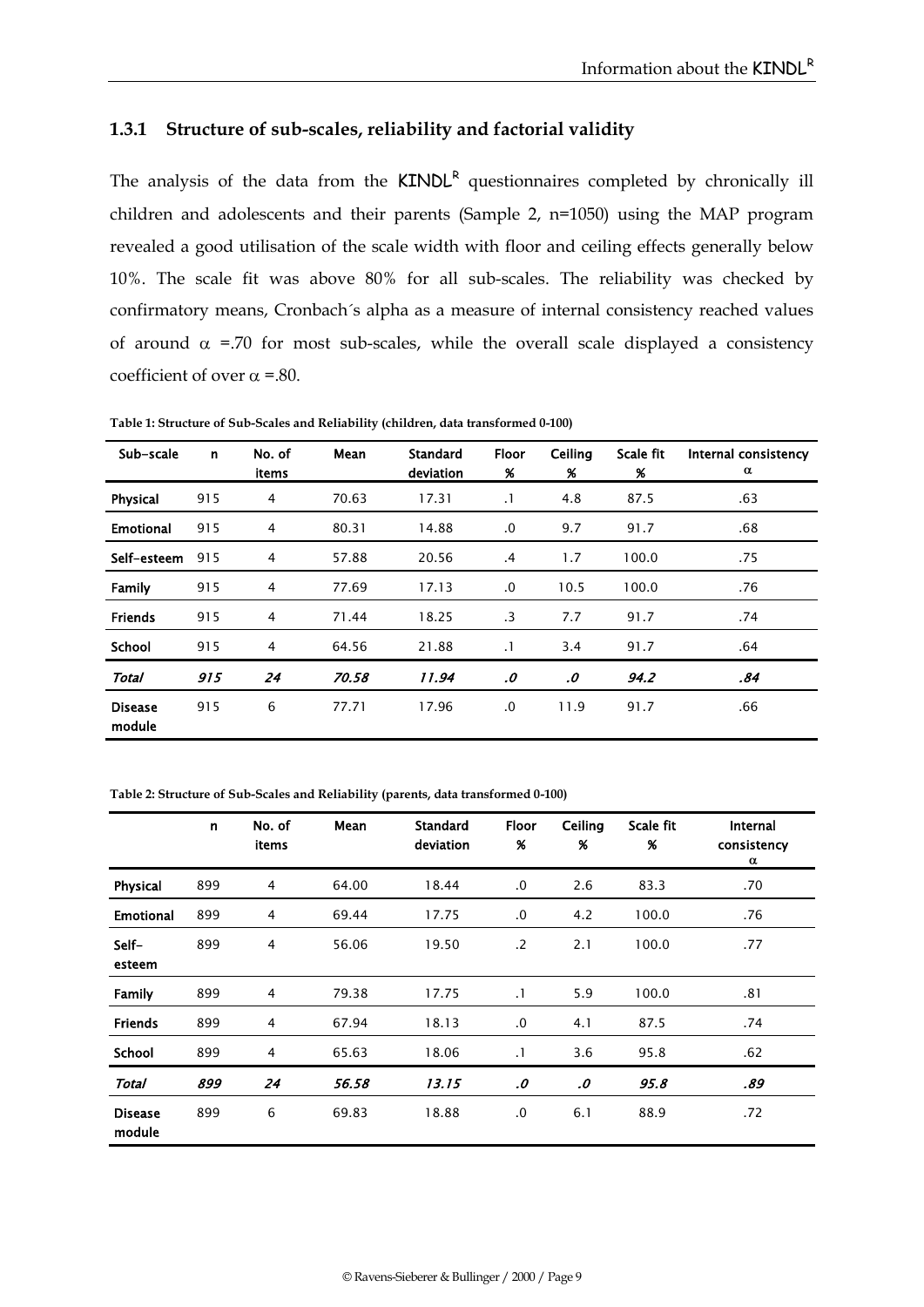#### **1.3.1 Structure of sub-scales, reliability and factorial validity**

The analysis of the data from the  $KINDL<sup>R</sup>$  questionnaires completed by chronically ill children and adolescents and their parents (Sample 2, n=1050) using the MAP program revealed a good utilisation of the scale width with floor and ceiling effects generally below 10%. The scale fit was above 80% for all sub-scales. The reliability was checked by confirmatory means, Cronbach´s alpha as a measure of internal consistency reached values of around  $\alpha$  =.70 for most sub-scales, while the overall scale displayed a consistency coefficient of over  $\alpha$  =.80.

| Sub-scale                | n   | No. of<br>items | Mean  | <b>Standard</b><br>deviation | <b>Floor</b><br>% | Ceiling<br>% | Scale fit<br>% | Internal consistency<br>α |
|--------------------------|-----|-----------------|-------|------------------------------|-------------------|--------------|----------------|---------------------------|
| Physical                 | 915 | $\overline{4}$  | 70.63 | 17.31                        | $\cdot$           | 4.8          | 87.5           | .63                       |
| <b>Emotional</b>         | 915 | $\overline{4}$  | 80.31 | 14.88                        | .0                | 9.7          | 91.7           | .68                       |
| Self-esteem              | 915 | $\overline{4}$  | 57.88 | 20.56                        | .4                | 1.7          | 100.0          | .75                       |
| Family                   | 915 | $\overline{4}$  | 77.69 | 17.13                        | .0                | 10.5         | 100.0          | .76                       |
| <b>Friends</b>           | 915 | 4               | 71.44 | 18.25                        | $\cdot$ 3         | 7.7          | 91.7           | .74                       |
| School                   | 915 | 4               | 64.56 | 21.88                        | $\cdot$           | 3.4          | 91.7           | .64                       |
| <b>Total</b>             | 915 | 24              | 70.58 | 11.94                        | .0                | .0           | 94.2           | .84                       |
| <b>Disease</b><br>module | 915 | 6               | 77.71 | 17.96                        | $\cdot$           | 11.9         | 91.7           | .66                       |

**Table 1: Structure of Sub-Scales and Reliability (children, data transformed 0-100)**

**Table 2: Structure of Sub-Scales and Reliability (parents, data transformed 0-100)**

|                          | $\mathsf{n}$ | No. of<br>items | Mean  | <b>Standard</b><br>deviation | <b>Floor</b><br>% | Ceiling<br>% | Scale fit<br>$\boldsymbol{\%}$ | <b>Internal</b><br>consistency<br>α |
|--------------------------|--------------|-----------------|-------|------------------------------|-------------------|--------------|--------------------------------|-------------------------------------|
| Physical                 | 899          | 4               | 64.00 | 18.44                        | .0                | 2.6          | 83.3                           | .70                                 |
| <b>Emotional</b>         | 899          | 4               | 69.44 | 17.75                        | .0                | 4.2          | 100.0                          | .76                                 |
| Self-<br>esteem          | 899          | 4               | 56.06 | 19.50                        | $\cdot$ .2        | 2.1          | 100.0                          | .77                                 |
| Family                   | 899          | 4               | 79.38 | 17.75                        | $\cdot$ 1         | 5.9          | 100.0                          | .81                                 |
| <b>Friends</b>           | 899          | 4               | 67.94 | 18.13                        | .0                | 4.1          | 87.5                           | .74                                 |
| School                   | 899          | 4               | 65.63 | 18.06                        | $\cdot$ 1         | 3.6          | 95.8                           | .62                                 |
| Total                    | 899          | 24              | 56.58 | 13.15                        | .0                | .0           | 95.8                           | .89                                 |
| <b>Disease</b><br>module | 899          | 6               | 69.83 | 18.88                        | .0                | 6.1          | 88.9                           | .72                                 |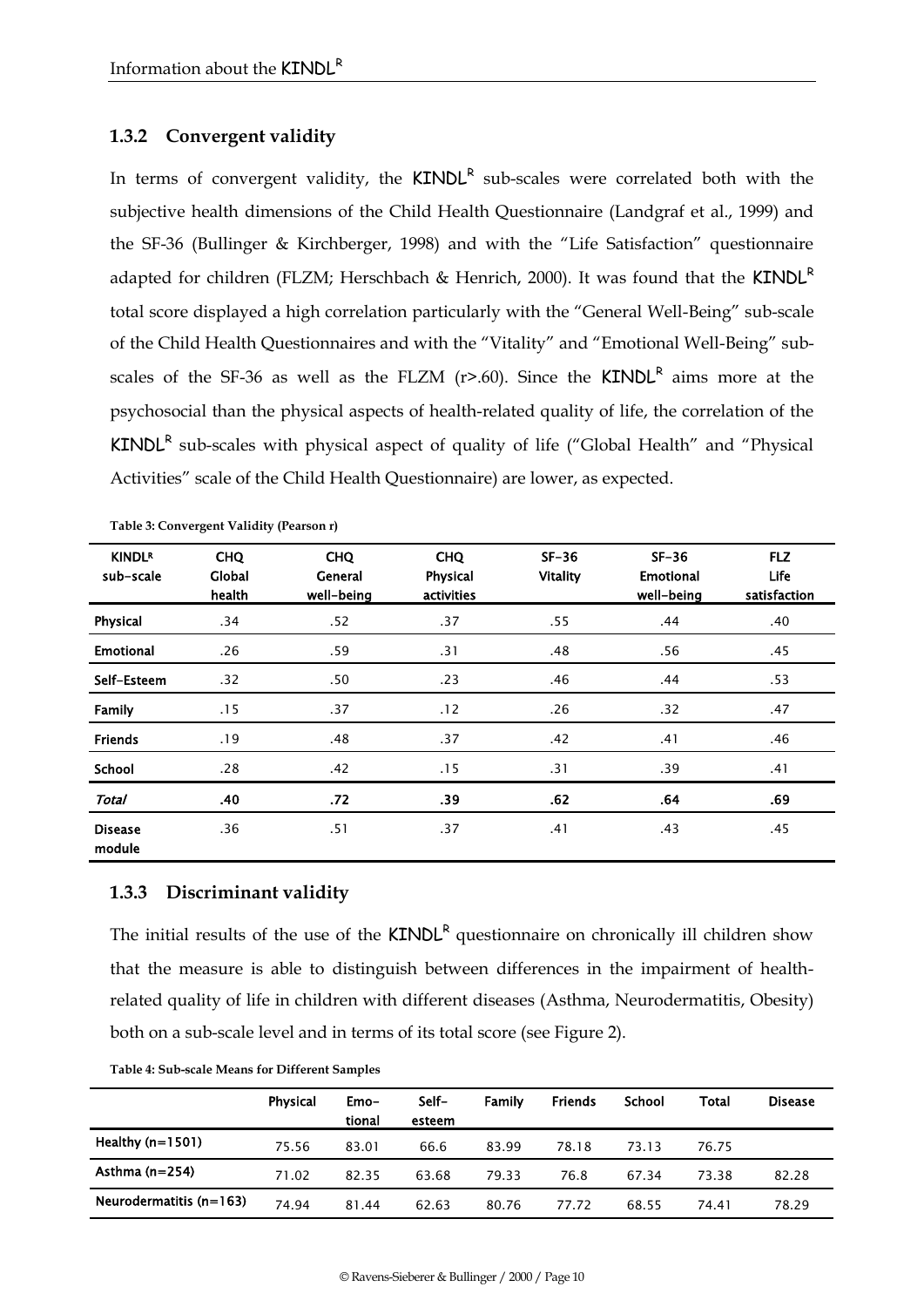#### **1.3.2 Convergent validity**

In terms of convergent validity, the KINDL<sup>R</sup> sub-scales were correlated both with the subjective health dimensions of the Child Health Questionnaire (Landgraf et al., 1999) and the SF-36 (Bullinger & Kirchberger, 1998) and with the "Life Satisfaction" questionnaire adapted for children (FLZM; Herschbach & Henrich, 2000). It was found that the KINDL<sup>R</sup> total score displayed a high correlation particularly with the "General Well-Being" sub-scale of the Child Health Questionnaires and with the "Vitality" and "Emotional Well-Being" subscales of the SF-36 as well as the FLZM  $(r>0.60)$ . Since the **KINDL<sup>R</sup>** aims more at the psychosocial than the physical aspects of health-related quality of life, the correlation of the  $KINDL<sup>R</sup>$  sub-scales with physical aspect of quality of life ("Global Health" and "Physical Activities" scale of the Child Health Questionnaire) are lower, as expected.

| <b>KINDLR</b><br>sub-scale | <b>CHQ</b><br>Global<br>health | <b>CHQ</b><br>General<br>well-being | <b>CHQ</b><br>Physical<br>activities | $SF-36$<br><b>Vitality</b> | $SF-36$<br><b>Emotional</b><br>well-being | <b>FLZ</b><br>Life<br>satisfaction |
|----------------------------|--------------------------------|-------------------------------------|--------------------------------------|----------------------------|-------------------------------------------|------------------------------------|
| Physical                   | .34                            | .52                                 | .37                                  | .55                        | .44                                       | .40                                |
| <b>Emotional</b>           | .26                            | .59                                 | .31                                  | .48                        | .56                                       | .45                                |
| Self-Esteem                | .32                            | .50                                 | .23                                  | .46                        | .44                                       | .53                                |
| Family                     | .15                            | .37                                 | .12                                  | .26                        | .32                                       | .47                                |
| <b>Friends</b>             | .19                            | .48                                 | .37                                  | .42                        | .41                                       | .46                                |
| <b>School</b>              | .28                            | .42                                 | .15                                  | .31                        | .39                                       | .41                                |
| <b>Total</b>               | .40                            | .72                                 | .39                                  | .62                        | .64                                       | .69                                |
| <b>Disease</b><br>module   | .36                            | .51                                 | .37                                  | .41                        | .43                                       | .45                                |

**Table 3: Convergent Validity (Pearson r)**

#### **1.3.3 Discriminant validity**

The initial results of the use of the  $KINDL<sup>R</sup>$  questionnaire on chronically ill children show that the measure is able to distinguish between differences in the impairment of healthrelated quality of life in children with different diseases (Asthma, Neurodermatitis, Obesity) both on a sub-scale level and in terms of its total score (see Figure 2).

|                           | Physical | Emo-<br>tional | Self-<br>esteem | Family | Friends | School | Total | <b>Disease</b> |
|---------------------------|----------|----------------|-----------------|--------|---------|--------|-------|----------------|
| Healthy $(n=1501)$        | 75.56    | 83.01          | 66.6            | 83.99  | 78.18   | 73.13  | 76.75 |                |
| Asthma $(n=254)$          | 71.02    | 82.35          | 63.68           | 79.33  | 76.8    | 67.34  | 73.38 | 82.28          |
| Neurodermatitis $(n=163)$ | 74.94    | 81.44          | 62.63           | 80.76  | 77.72   | 68.55  | 74.41 | 78.29          |

**Table 4: Sub-scale Means for Different Samples**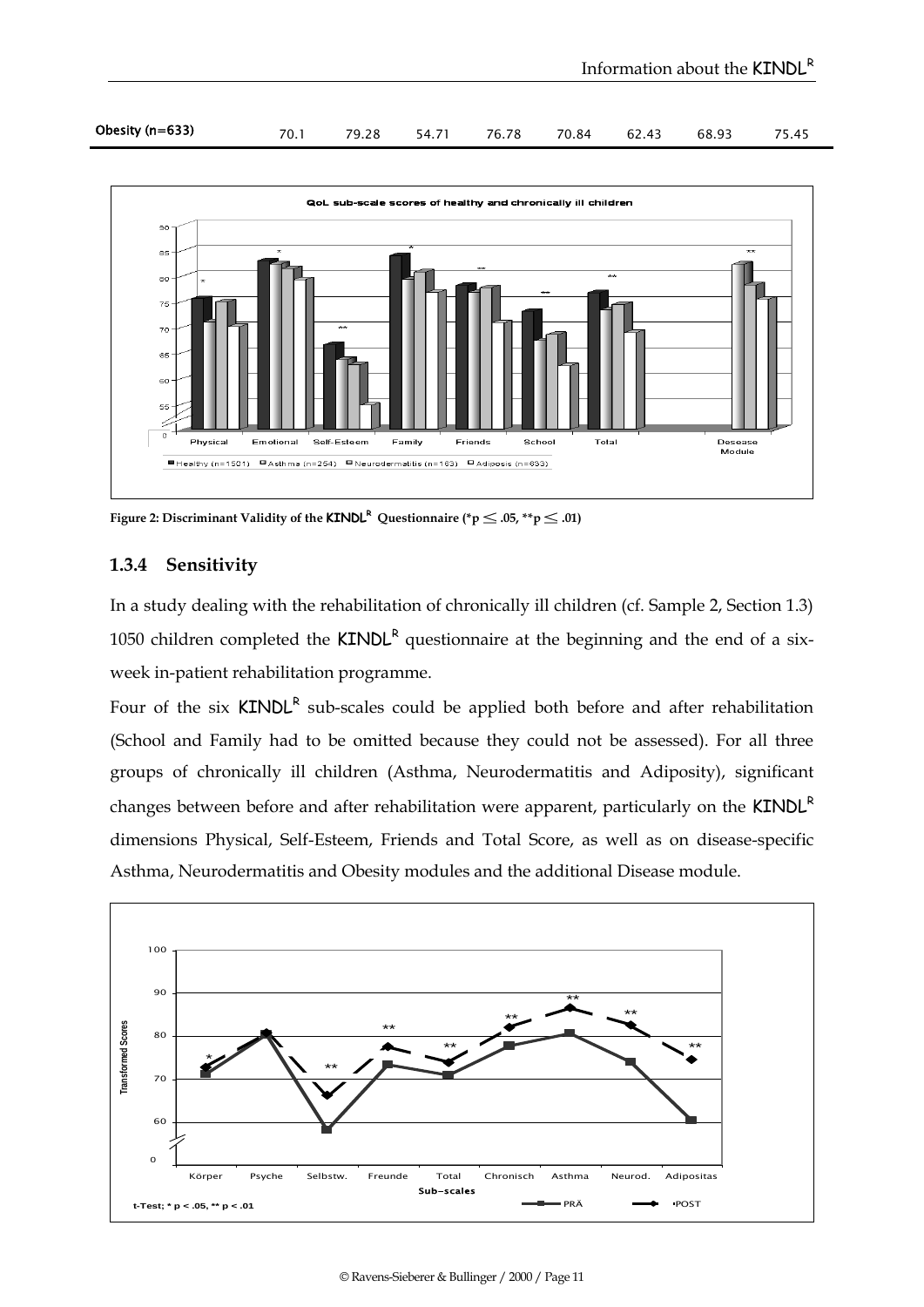| Obesity (n=633) |  |  |  |  |  |  | 70.1 79.28 54.71 76.78 70.84 62.43 68.93 75.45 |  |
|-----------------|--|--|--|--|--|--|------------------------------------------------|--|
|-----------------|--|--|--|--|--|--|------------------------------------------------|--|



Figure 2: Discriminant Validity of the  $\textsf{KINDL}^\mathsf{R}\textup{ Questionnaire } (*\textup{p}\leq.05, **\textup{p}\leq.01)$ 

#### **1.3.4 Sensitivity**

In a study dealing with the rehabilitation of chronically ill children (cf. Sample 2, Section 1.3) 1050 children completed the  $KINDL<sup>R</sup>$  questionnaire at the beginning and the end of a sixweek in-patient rehabilitation programme.

Four of the six  $KINDL<sup>R</sup>$  sub-scales could be applied both before and after rehabilitation (School and Family had to be omitted because they could not be assessed). For all three groups of chronically ill children (Asthma, Neurodermatitis and Adiposity), significant changes between before and after rehabilitation were apparent, particularly on the  $KINDL<sup>R</sup>$ dimensions Physical, Self-Esteem, Friends and Total Score, as well as on disease-specific Asthma, Neurodermatitis and Obesity modules and the additional Disease module.

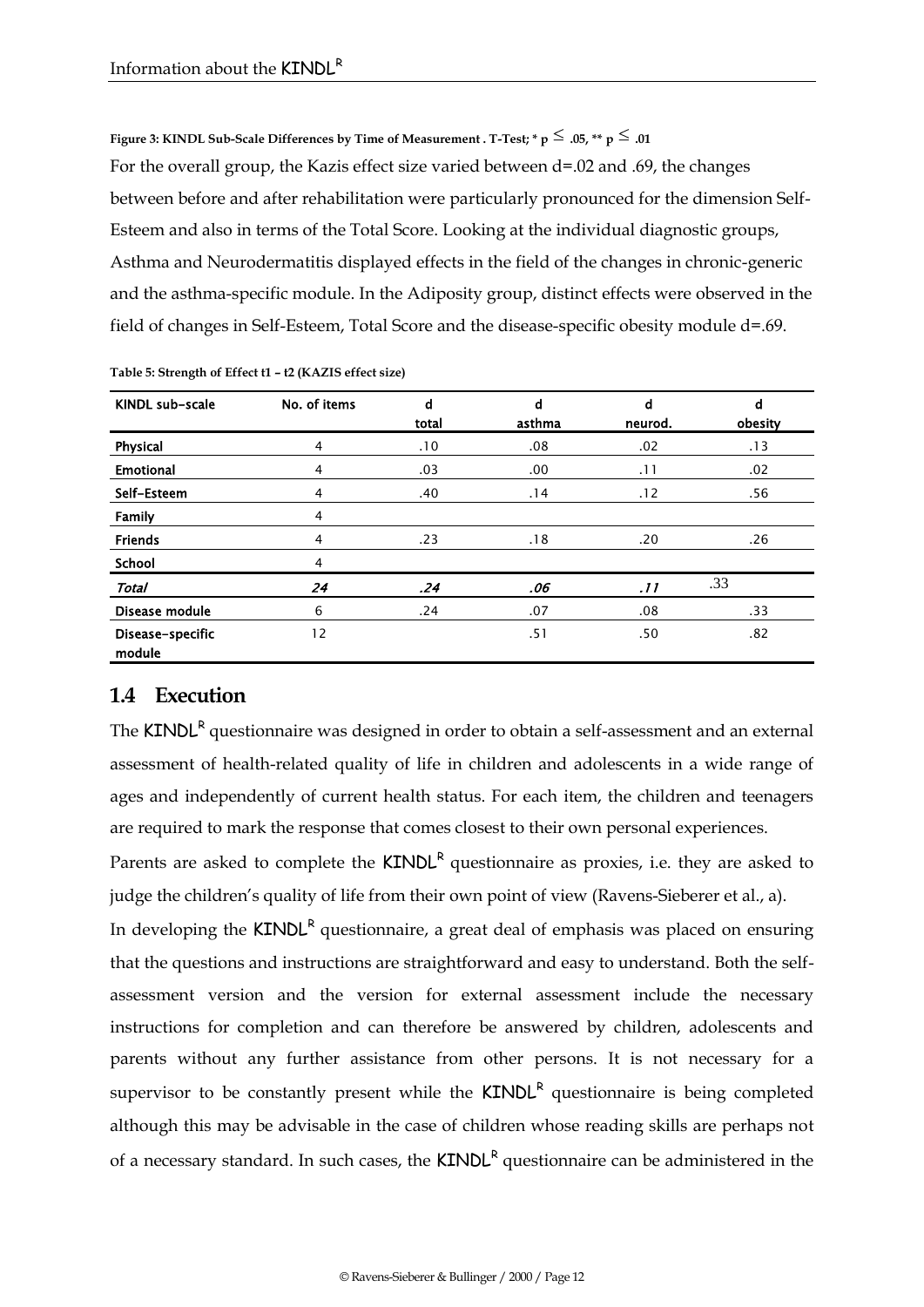Figure 3: KINDL Sub-Scale Differences by Time of Measurement . T-Test; \* p  $\leq .05$ , \*\* p  $\leq .01$ For the overall group, the Kazis effect size varied between d=.02 and .69, the changes between before and after rehabilitation were particularly pronounced for the dimension Self-Esteem and also in terms of the Total Score. Looking at the individual diagnostic groups, Asthma and Neurodermatitis displayed effects in the field of the changes in chronic-generic and the asthma-specific module. In the Adiposity group, distinct effects were observed in the field of changes in Self-Esteem, Total Score and the disease-specific obesity module d=.69.

| KINDL sub-scale            | No. of items   | d<br>total | d<br>asthma      | d<br>neurod. | d<br>obesity |
|----------------------------|----------------|------------|------------------|--------------|--------------|
| Physical                   | 4              | .10        | .08              | .02          | .13          |
| <b>Emotional</b>           | $\overline{4}$ | .03        | .00 <sub>1</sub> | .11          | .02          |
| Self-Esteem                | 4              | .40        | .14              | .12          | .56          |
| Family                     | 4              |            |                  |              |              |
| <b>Friends</b>             | $\overline{4}$ | .23        | .18              | .20          | .26          |
| School                     | $\overline{4}$ |            |                  |              |              |
| <b>Total</b>               | 24             | .24        | .06              | .11          | .33          |
| Disease module             | 6              | .24        | .07              | .08          | .33          |
| Disease-specific<br>module | 12             |            | .51              | .50          | .82          |

**Table 5: Strength of Effect t1 – t2 (KAZIS effect size)**

### **1.4 Execution**

The KINDL<sup>R</sup> questionnaire was designed in order to obtain a self-assessment and an external assessment of health-related quality of life in children and adolescents in a wide range of ages and independently of current health status. For each item, the children and teenagers are required to mark the response that comes closest to their own personal experiences.

Parents are asked to complete the  $KINDL<sup>R</sup>$  questionnaire as proxies, i.e. they are asked to judge the children's quality of life from their own point of view (Ravens-Sieberer et al., a).

In developing the  $KINDL<sup>R</sup>$  questionnaire, a great deal of emphasis was placed on ensuring that the questions and instructions are straightforward and easy to understand. Both the selfassessment version and the version for external assessment include the necessary instructions for completion and can therefore be answered by children, adolescents and parents without any further assistance from other persons. It is not necessary for a supervisor to be constantly present while the  $KINDL<sup>R</sup>$  questionnaire is being completed although this may be advisable in the case of children whose reading skills are perhaps not of a necessary standard. In such cases, the **KINDL<sup>R</sup>** questionnaire can be administered in the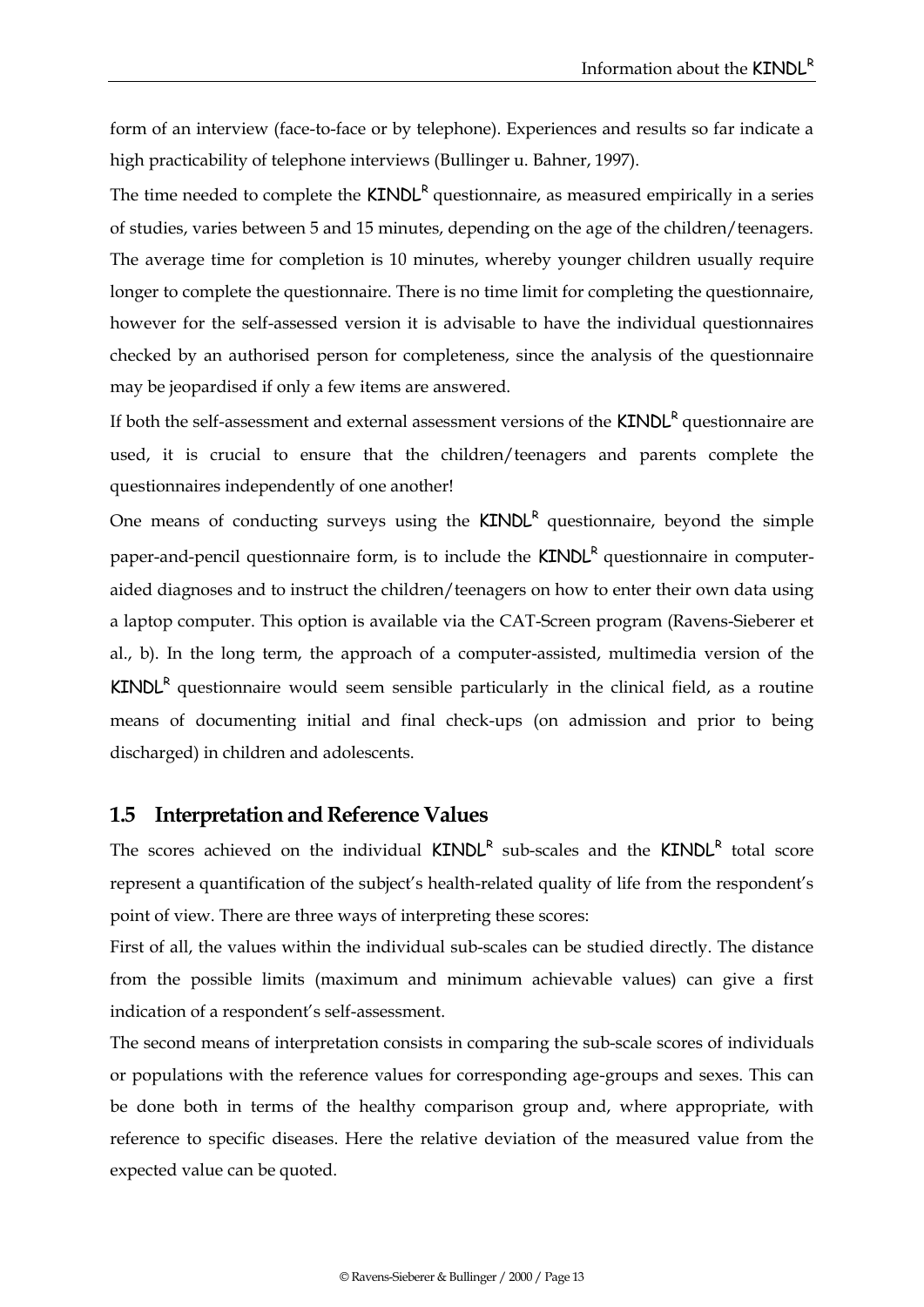form of an interview (face-to-face or by telephone). Experiences and results so far indicate a high practicability of telephone interviews (Bullinger u. Bahner, 1997).

The time needed to complete the  $KINDL<sup>R</sup>$  questionnaire, as measured empirically in a series of studies, varies between 5 and 15 minutes, depending on the age of the children/teenagers. The average time for completion is 10 minutes, whereby younger children usually require longer to complete the questionnaire. There is no time limit for completing the questionnaire, however for the self-assessed version it is advisable to have the individual questionnaires checked by an authorised person for completeness, since the analysis of the questionnaire may be jeopardised if only a few items are answered.

If both the self-assessment and external assessment versions of the **KINDL<sup>R</sup>** questionnaire are used, it is crucial to ensure that the children/teenagers and parents complete the questionnaires independently of one another!

One means of conducting surveys using the  $KINDL<sup>R</sup>$  questionnaire, beyond the simple paper-and-pencil questionnaire form, is to include the KINDL<sup>R</sup> questionnaire in computeraided diagnoses and to instruct the children/teenagers on how to enter their own data using a laptop computer. This option is available via the CAT-Screen program (Ravens-Sieberer et al., b). In the long term, the approach of a computer-assisted, multimedia version of the  $KINDL<sup>R</sup>$  questionnaire would seem sensible particularly in the clinical field, as a routine means of documenting initial and final check-ups (on admission and prior to being discharged) in children and adolescents.

#### **1.5 Interpretation and Reference Values**

The scores achieved on the individual KINDL<sup>R</sup> sub-scales and the KINDL<sup>R</sup> total score represent a quantification of the subject's health-related quality of life from the respondent's point of view. There are three ways of interpreting these scores:

First of all, the values within the individual sub-scales can be studied directly. The distance from the possible limits (maximum and minimum achievable values) can give a first indication of a respondent's self-assessment.

The second means of interpretation consists in comparing the sub-scale scores of individuals or populations with the reference values for corresponding age-groups and sexes. This can be done both in terms of the healthy comparison group and, where appropriate, with reference to specific diseases. Here the relative deviation of the measured value from the expected value can be quoted.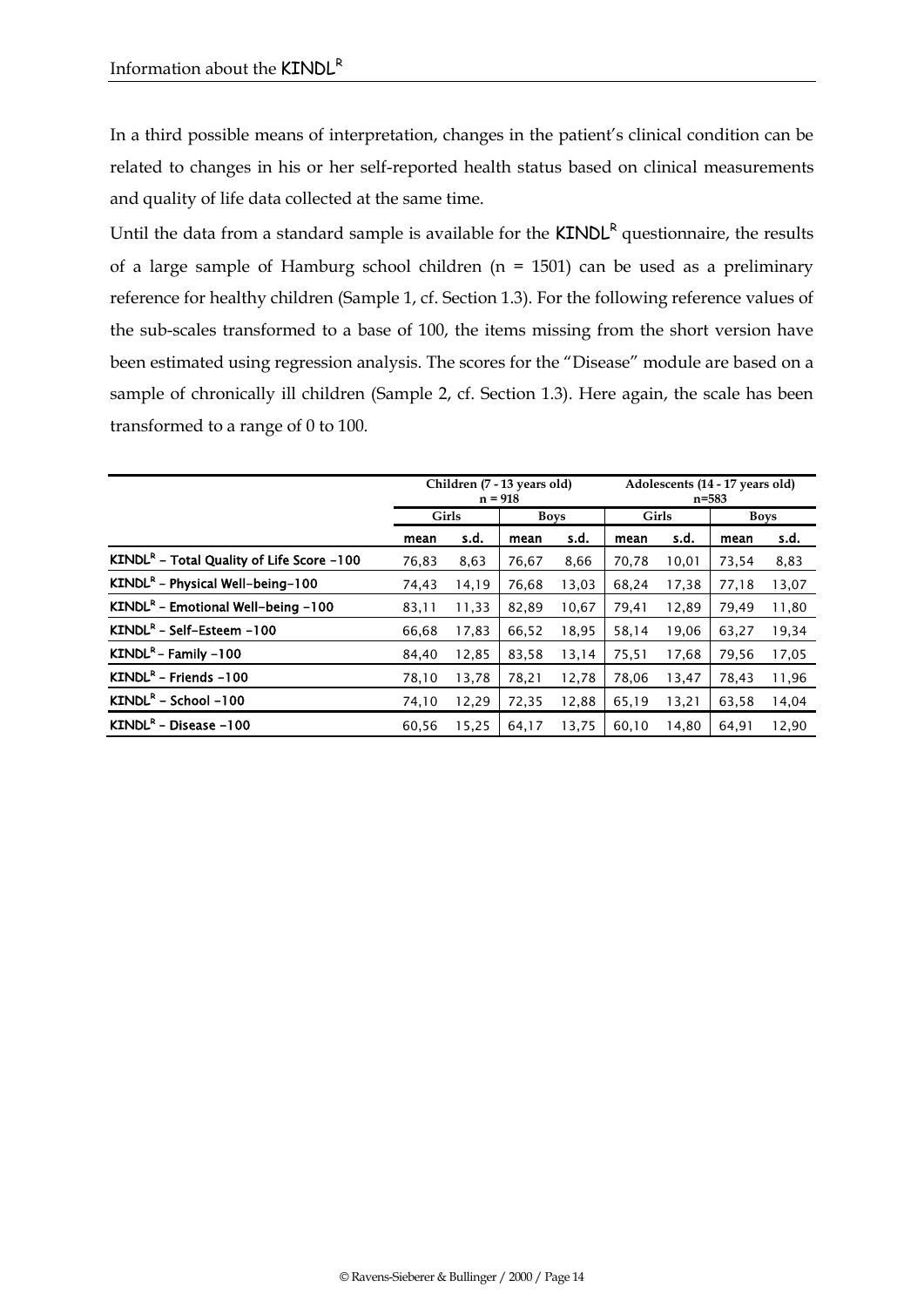In a third possible means of interpretation, changes in the patient's clinical condition can be related to changes in his or her self-reported health status based on clinical measurements and quality of life data collected at the same time.

Until the data from a standard sample is available for the  $KINDL<sup>R</sup>$  questionnaire, the results of a large sample of Hamburg school children (n = 1501) can be used as a preliminary reference for healthy children (Sample 1, cf. Section 1.3). For the following reference values of the sub-scales transformed to a base of 100, the items missing from the short version have been estimated using regression analysis. The scores for the "Disease" module are based on a sample of chronically ill children (Sample 2, cf. Section 1.3). Here again, the scale has been transformed to a range of 0 to 100.

|                                             | Children (7 - 13 years old)<br>$n = 918$ |       |             | Adolescents (14 - 17 years old)<br>$n = 583$ |       |       |       |       |
|---------------------------------------------|------------------------------------------|-------|-------------|----------------------------------------------|-------|-------|-------|-------|
|                                             | <b>Girls</b>                             |       | <b>Boys</b> |                                              | Girls |       | Boys  |       |
|                                             | mean                                     | s.d.  | mean        | s.d.                                         | mean  | s.d.  | mean  | s.d.  |
| $KINDLR$ – Total Quality of Life Score –100 | 76,83                                    | 8,63  | 76.67       | 8,66                                         | 70,78 | 10,01 | 73,54 | 8,83  |
| $KINDLR$ – Physical Well-being-100          | 74,43                                    | 14,19 | 76.68       | 13,03                                        | 68.24 | 17,38 | 77,18 | 13,07 |
| $KINDLR$ – Emotional Well-being –100        | 83,11                                    | 11,33 | 82,89       | 10,67                                        | 79,41 | 12,89 | 79,49 | 11,80 |
| KINDL <sup>R</sup> – Self-Esteem – 100      | 66.68                                    | 17,83 | 66.52       | 18,95                                        | 58,14 | 19,06 | 63,27 | 19,34 |
| $KINDLR - Family -100$                      | 84,40                                    | 12,85 | 83,58       | 13,14                                        | 75,51 | 17,68 | 79,56 | 17,05 |
| $KINDLR - Friends -100$                     | 78,10                                    | 13,78 | 78,21       | 12,78                                        | 78,06 | 13,47 | 78,43 | 11,96 |
| $KINDLR - School -100$                      | 74,10                                    | 12,29 | 72,35       | 12,88                                        | 65,19 | 13,21 | 63,58 | 14,04 |
| $KINDLR$ – Disease –100                     | 60,56                                    | 15,25 | 64,17       | 13,75                                        | 60,10 | 14,80 | 64,91 | 12,90 |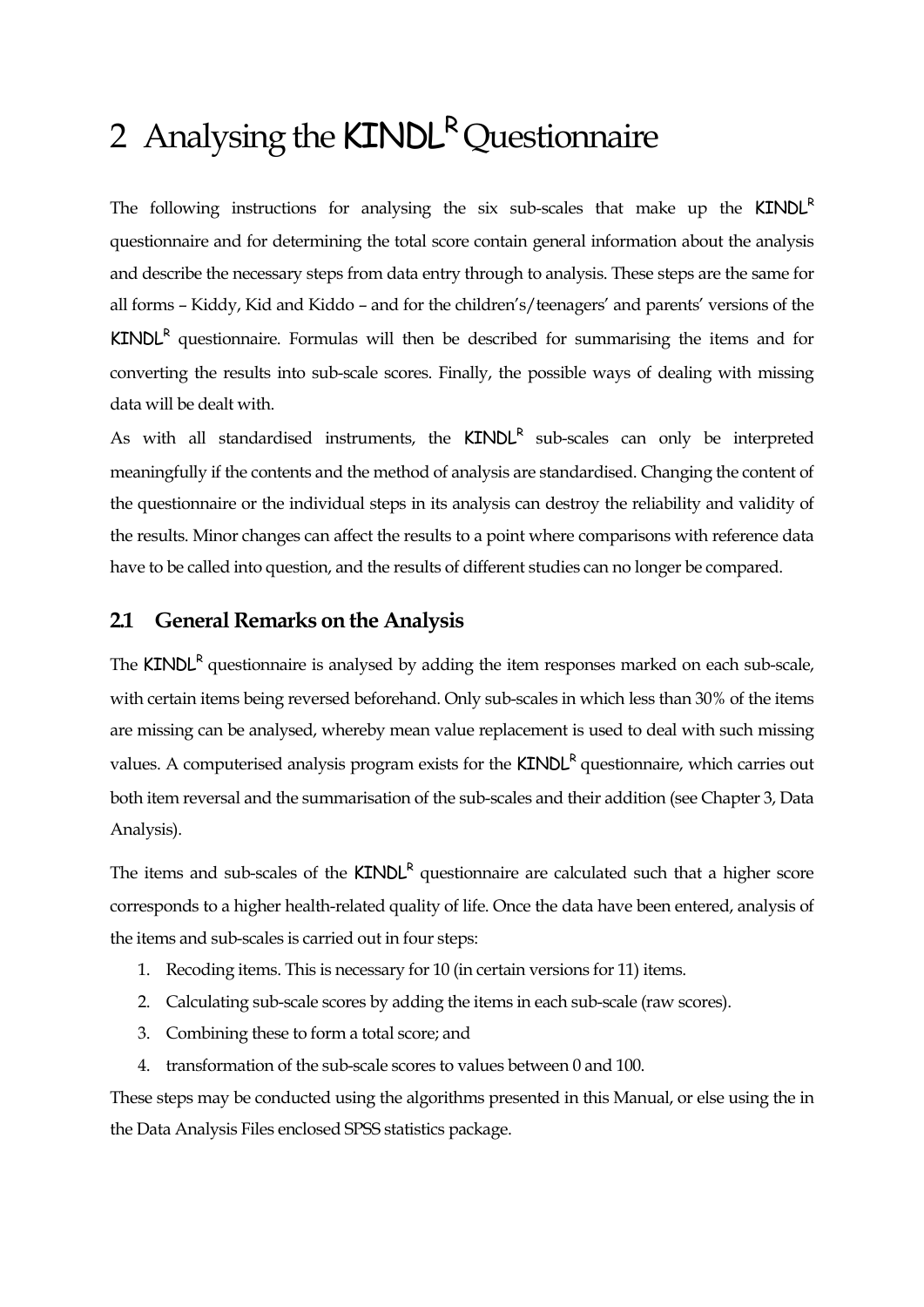# 2 Analysing the  $KINDL^R$  Questionnaire

The following instructions for analysing the six sub-scales that make up the  $KINDL<sup>R</sup>$ questionnaire and for determining the total score contain general information about the analysis and describe the necessary steps from data entry through to analysis. These steps are the same for all forms – Kiddy, Kid and Kiddo – and for the children's/teenagers' and parents' versions of the  $KINDL<sup>R</sup>$  questionnaire. Formulas will then be described for summarising the items and for converting the results into sub-scale scores. Finally, the possible ways of dealing with missing data will be dealt with.

As with all standardised instruments, the  $KINDL<sup>R</sup>$  sub-scales can only be interpreted meaningfully if the contents and the method of analysis are standardised. Changing the content of the questionnaire or the individual steps in its analysis can destroy the reliability and validity of the results. Minor changes can affect the results to a point where comparisons with reference data have to be called into question, and the results of different studies can no longer be compared.

#### **2.1 General Remarks on the Analysis**

The  $KINDL<sup>R</sup>$  questionnaire is analysed by adding the item responses marked on each sub-scale, with certain items being reversed beforehand. Only sub-scales in which less than 30% of the items are missing can be analysed, whereby mean value replacement is used to deal with such missing values. A computerised analysis program exists for the  $KINDL<sup>R</sup>$  questionnaire, which carries out both item reversal and the summarisation of the sub-scales and their addition (see Chapter 3, Data Analysis).

The items and sub-scales of the  $KINDL<sup>R</sup>$  questionnaire are calculated such that a higher score corresponds to a higher health-related quality of life. Once the data have been entered, analysis of the items and sub-scales is carried out in four steps:

- 1. Recoding items. This is necessary for 10 (in certain versions for 11) items.
- 2. Calculating sub-scale scores by adding the items in each sub-scale (raw scores).
- 3. Combining these to form a total score; and
- 4. transformation of the sub-scale scores to values between 0 and 100.

These steps may be conducted using the algorithms presented in this Manual, or else using the in the Data Analysis Files enclosed SPSS statistics package.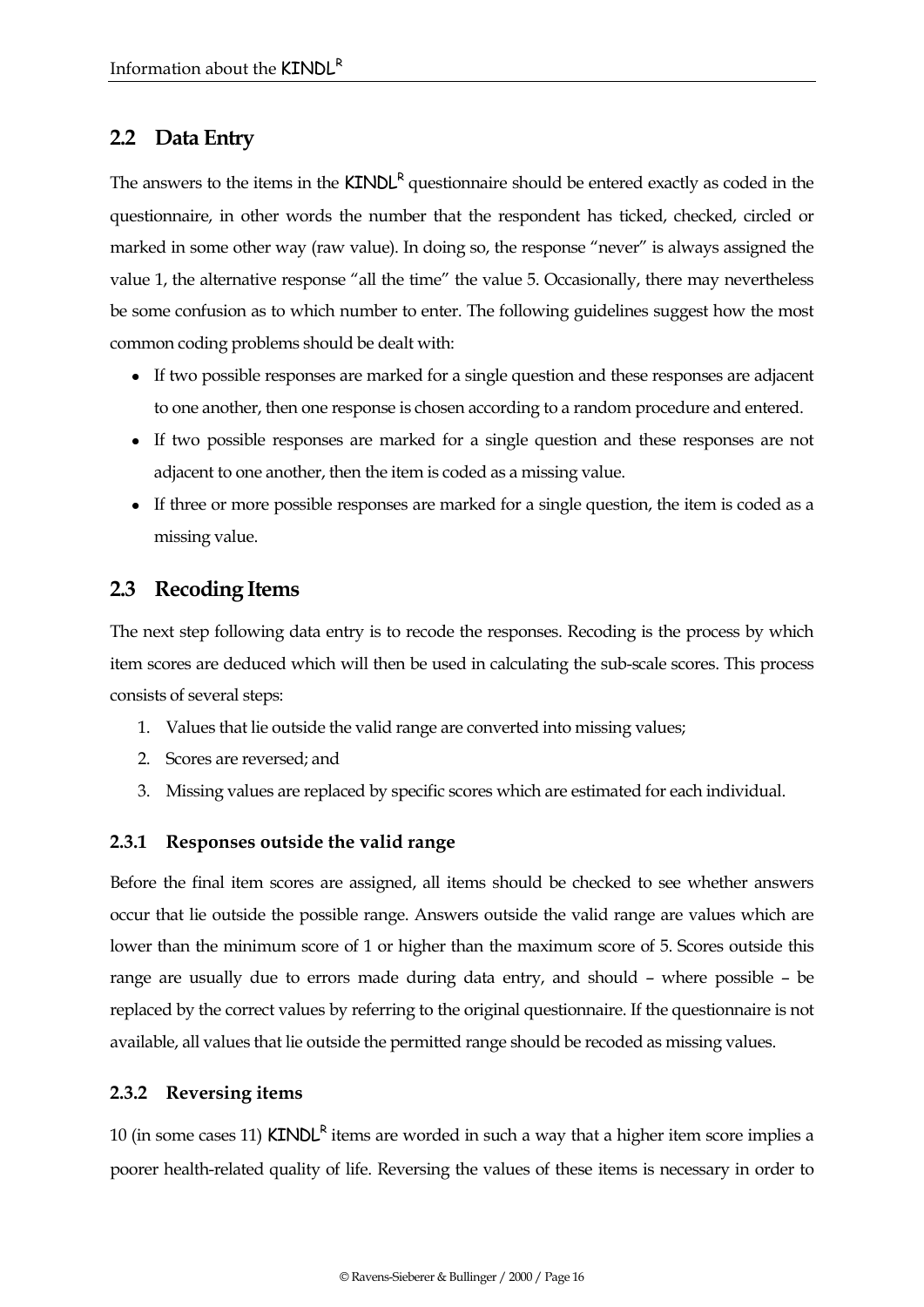## **2.2 Data Entry**

The answers to the items in the  $KINDL<sup>R</sup>$  questionnaire should be entered exactly as coded in the questionnaire, in other words the number that the respondent has ticked, checked, circled or marked in some other way (raw value). In doing so, the response "never" is always assigned the value 1, the alternative response "all the time" the value 5. Occasionally, there may nevertheless be some confusion as to which number to enter. The following guidelines suggest how the most common coding problems should be dealt with:

- If two possible responses are marked for a single question and these responses are adjacent to one another, then one response is chosen according to a random procedure and entered.
- If two possible responses are marked for a single question and these responses are not adjacent to one another, then the item is coded as a missing value.
- If three or more possible responses are marked for a single question, the item is coded as a missing value.

## **2.3 Recoding Items**

The next step following data entry is to recode the responses. Recoding is the process by which item scores are deduced which will then be used in calculating the sub-scale scores. This process consists of several steps:

- 1. Values that lie outside the valid range are converted into missing values;
- 2. Scores are reversed; and
- 3. Missing values are replaced by specific scores which are estimated for each individual.

#### **2.3.1 Responses outside the valid range**

Before the final item scores are assigned, all items should be checked to see whether answers occur that lie outside the possible range. Answers outside the valid range are values which are lower than the minimum score of 1 or higher than the maximum score of 5. Scores outside this range are usually due to errors made during data entry, and should – where possible – be replaced by the correct values by referring to the original questionnaire. If the questionnaire is not available, all values that lie outside the permitted range should be recoded as missing values.

#### **2.3.2 Reversing items**

10 (in some cases 11)  $KINDL<sup>R</sup>$  items are worded in such a way that a higher item score implies a poorer health-related quality of life. Reversing the values of these items is necessary in order to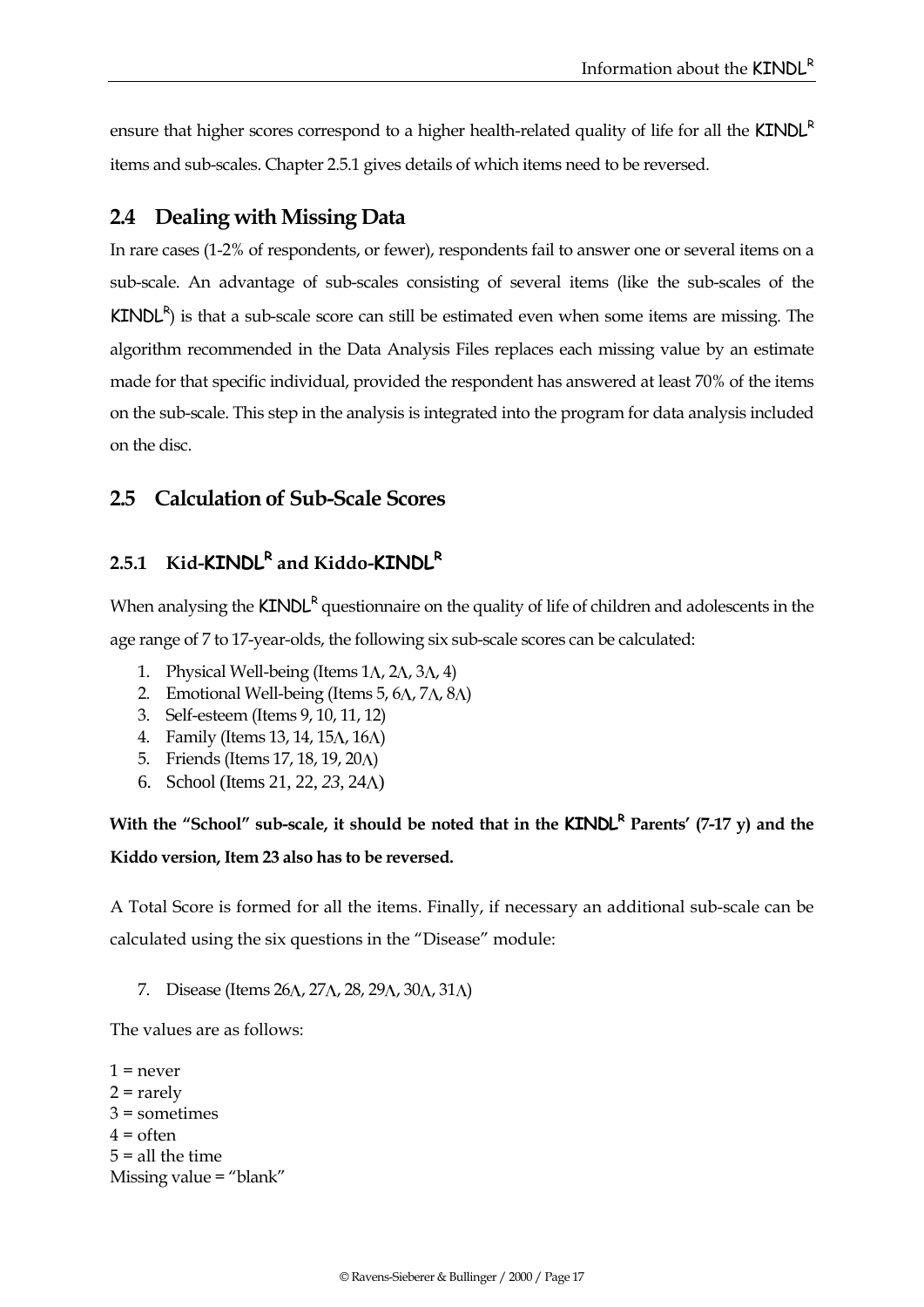ensure that higher scores correspond to a higher health-related quality of life for all the KINDL<sup>R</sup> items and sub-scales. Chapter [2.5.](#page-18-0)1 gives details of which items need to be reversed.

## **2.4 Dealing with Missing Data**

In rare cases (1-2% of respondents, or fewer), respondents fail to answer one or several items on a sub-scale. An advantage of sub-scales consisting of several items (like the sub-scales of the  $KINDL<sup>R</sup>$ ) is that a sub-scale score can still be estimated even when some items are missing. The algorithm recommended in the Data Analysis Files replaces each missing value by an estimate made for that specific individual, provided the respondent has answered at least 70% of the items on the sub-scale. This step in the analysis is integrated into the program for data analysis included on the disc.

## <span id="page-18-0"></span>**2.5 Calculation of Sub-Scale Scores**

## **2.5.1 Kid-KINDL<sup>R</sup> and Kiddo-KINDL<sup>R</sup>**

When analysing the  $KINDL<sup>R</sup>$  questionnaire on the quality of life of children and adolescents in the age range of 7 to 17-year-olds, the following six sub-scale scores can be calculated:

- 1. Physical Well-being (Items  $1\Lambda$ ,  $2\Lambda$ ,  $3\Lambda$ ,  $4$ )
- 2. Emotional Well-being (Items 5,  $6\Lambda$ ,  $7\Lambda$ ,  $8\Lambda$ )
- 3. Self-esteem (Items 9, 10, 11, 12)
- 4. Family (Items 13, 14, 15 $\Lambda$ , 16 $\Lambda$ )
- 5. Friends (Items 17, 18, 19, 20 $\Lambda$ )
- 6. School (Items 21, 22, *23*, 24 )

# **With the "School" sub-scale, it should be noted that in the <b>KINDL**<sup>R</sup> Parents' (7-17 v) and the **Kiddo version, Item 23 also has to be reversed.**

A Total Score is formed for all the items. Finally, if necessary an additional sub-scale can be calculated using the six questions in the "Disease" module:

7. Disease (Items 26A, 27A, 28, 29A, 30A, 31A)

The values are as follows:

 $1$  = never  $2 =$ rarely  $3 =$ sometimes  $4 =$  often  $5 =$  all the time Missing value = "blank"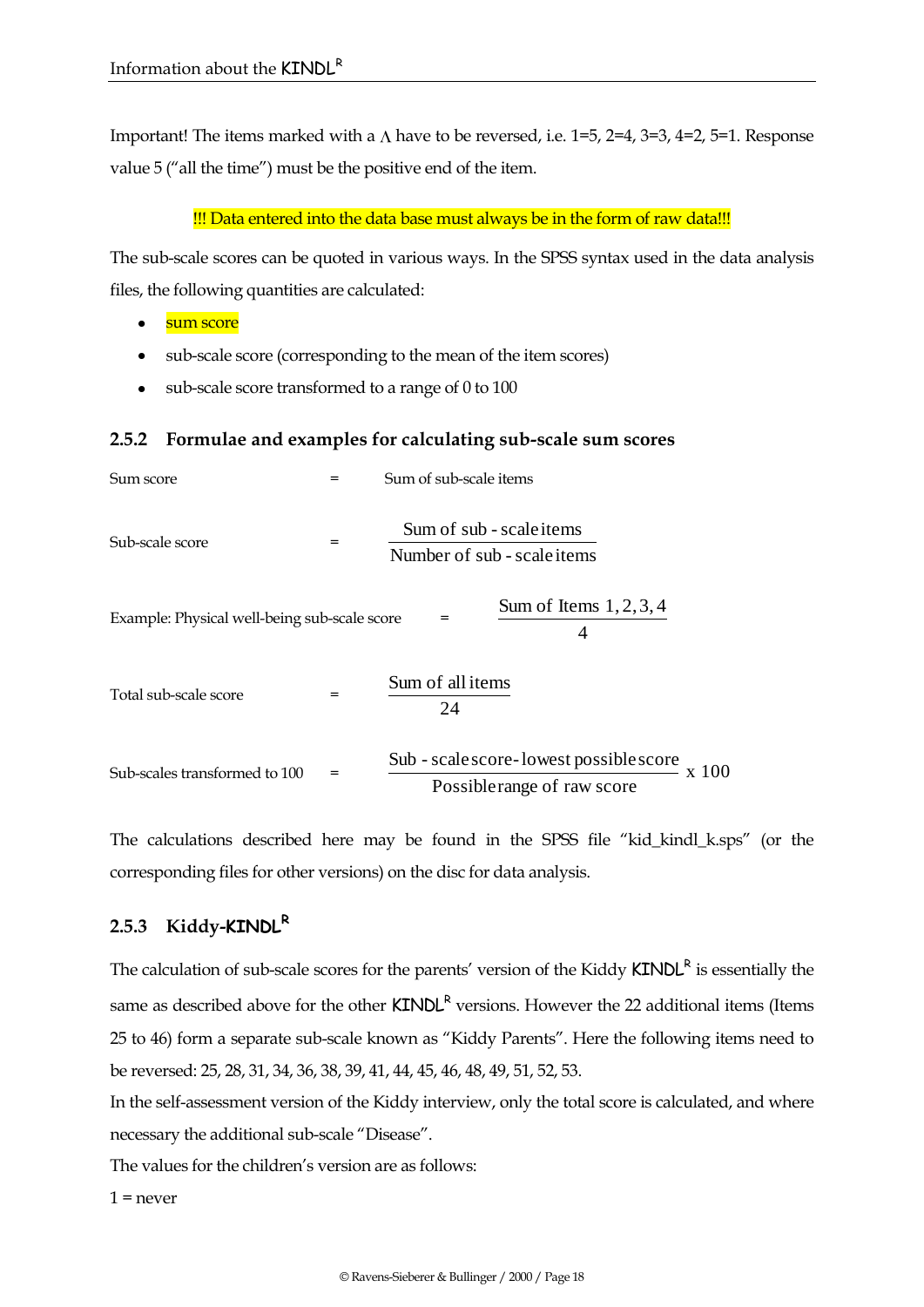Important! The items marked with a  $\Lambda$  have to be reversed, i.e. 1=5, 2=4, 3=3, 4=2, 5=1. Response value 5 ("all the time") must be the positive end of the item.

!!! Data entered into the data base must always be in the form of raw data!!!

The sub-scale scores can be quoted in various ways. In the SPSS syntax used in the data analysis files, the following quantities are calculated:

- sum score  $\bullet$
- sub-scale score (corresponding to the mean of the item scores)  $\bullet$
- $\bullet$ sub-scale score transformed to a range of 0 to 100

#### **2.5.2 Formulae and examples for calculating sub-scale sum scores**

| Sum score                                    |     | Sum of sub-scale items                                                                |  |  |
|----------------------------------------------|-----|---------------------------------------------------------------------------------------|--|--|
| Sub-scale score                              | $=$ | Sum of sub - scale items<br>Number of sub - scale items                               |  |  |
| Example: Physical well-being sub-scale score |     | Sum of Items $1, 2, 3, 4$<br>$=$<br>4                                                 |  |  |
| Total sub-scale score                        | =   | Sum of all items<br>24                                                                |  |  |
| Sub-scales transformed to 100                |     | Sub - scale score-lowest possible score<br>$\rm x\;100$<br>Possiblerange of raw score |  |  |

The calculations described here may be found in the SPSS file "kid\_kindl\_k.sps" (or the corresponding files for other versions) on the disc for data analysis.

#### **2.5.3 Kiddy-KINDL<sup>R</sup>**

The calculation of sub-scale scores for the parents' version of the Kiddy  $KINDL<sup>R</sup>$  is essentially the same as described above for the other  $\text{KINDL}^{\text{R}}$  versions. However the 22 additional items (Items 25 to 46) form a separate sub-scale known as "Kiddy Parents". Here the following items need to be reversed: 25, 28, 31, 34, 36, 38, 39, 41, 44, 45, 46, 48, 49, 51, 52, 53.

In the self-assessment version of the Kiddy interview, only the total score is calculated, and where necessary the additional sub-scale "Disease".

The values for the children's version are as follows:

 $1 =$  never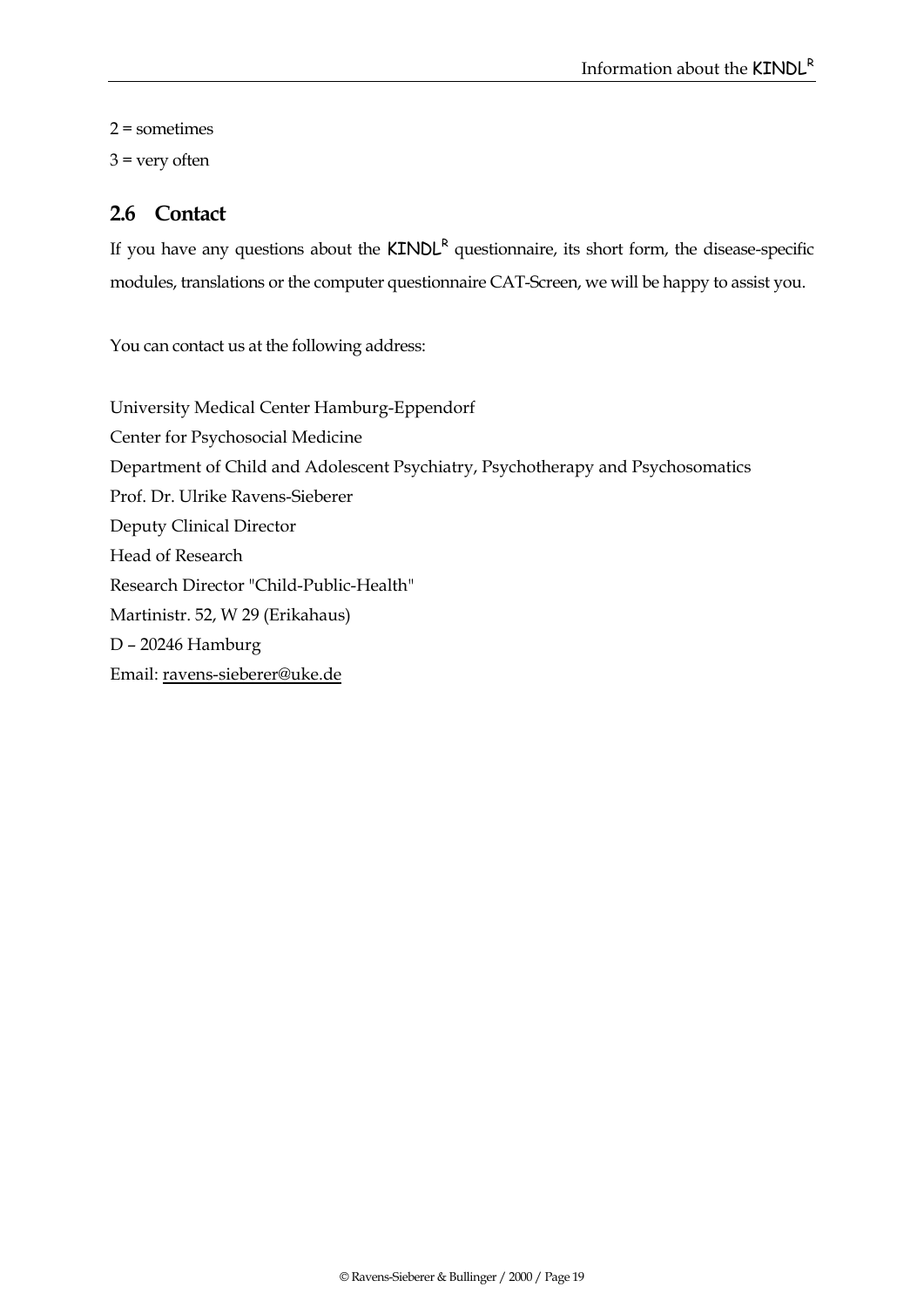2 = sometimes  $3$  = very often

# **2.6 Contact**

If you have any questions about the  $KINDL<sup>R</sup>$  questionnaire, its short form, the disease-specific modules, translations or the computer questionnaire CAT-Screen, we will be happy to assist you.

You can contact us at the following address:

University Medical Center Hamburg-Eppendorf Center for Psychosocial Medicine Department of Child and Adolescent Psychiatry, Psychotherapy and Psychosomatics Prof. Dr. Ulrike Ravens-Sieberer Deputy Clinical Director Head of Research Research Director "Child-Public-Health" Martinistr. 52, W 29 (Erikahaus) D – 20246 Hamburg Email[: ravens-sieberer@uke.de](mailto:ravens-sieberer@uke.de)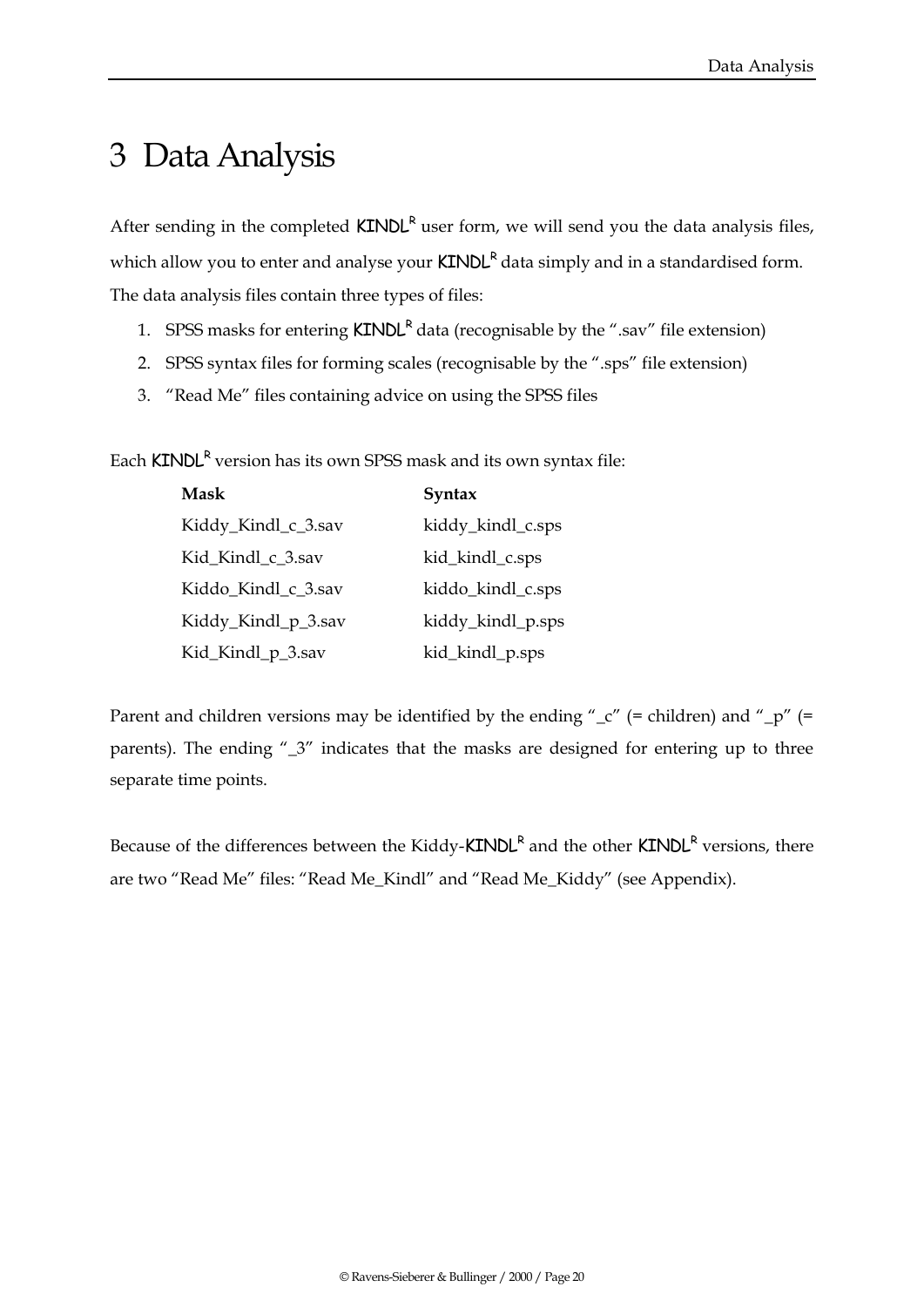# 3 Data Analysis

After sending in the completed  $KINDL<sup>R</sup>$  user form, we will send you the data analysis files, which allow you to enter and analyse your  $KINDL<sup>R</sup>$  data simply and in a standardised form. The data analysis files contain three types of files:

- 1. SPSS masks for entering  $KINDL<sup>R</sup>$  data (recognisable by the ".sav" file extension)
- 2. SPSS syntax files for forming scales (recognisable by the ".sps" file extension)
- 3. "Read Me" files containing advice on using the SPSS files

Each **KINDL<sup>R</sup> version has its own SPSS mask and its own syntax file:** 

| <b>Mask</b>         | Syntax            |
|---------------------|-------------------|
| Kiddy_Kindl_c_3.sav | kiddy_kindl_c.sps |
| Kid_Kindl_c_3.sav   | kid_kindl_c.sps   |
| Kiddo Kindl c 3.sav | kiddo_kindl_c.sps |
| Kiddy_Kindl_p_3.sav | kiddy_kindl_p.sps |
| Kid_Kindl_p_3.sav   | kid_kindl_p.sps   |

Parent and children versions may be identified by the ending " $\sub{c}$ " (= children) and " $\sub{p}$ " (= parents). The ending "\_3" indicates that the masks are designed for entering up to three separate time points.

Because of the differences between the Kiddy-**KINDL<sup>R</sup>** and the other **KINDL<sup>R</sup>** versions, there are two "Read Me" files: "Read Me\_Kindl" and "Read Me\_Kiddy" (see Appendix).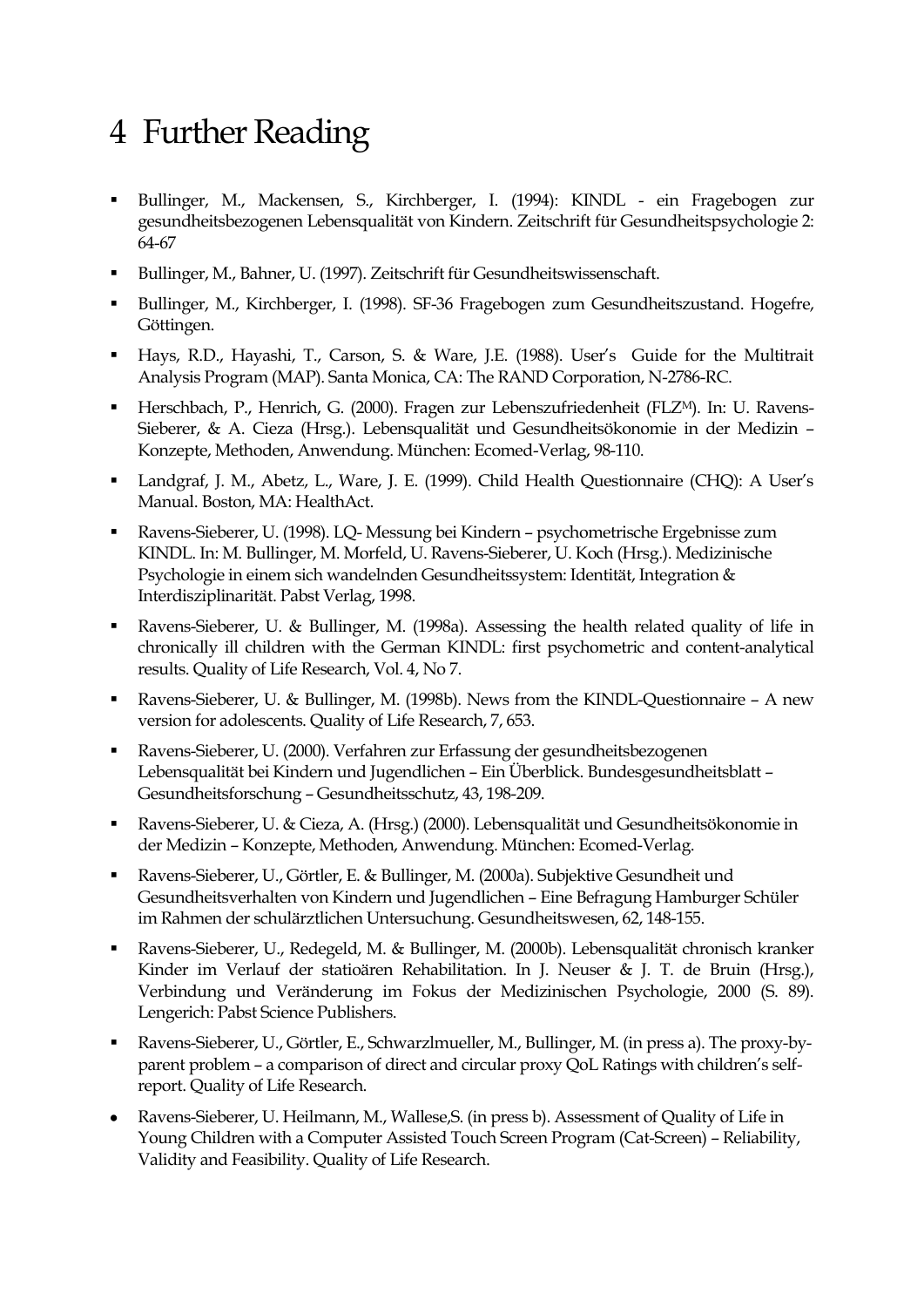# 4 Further Reading

- Bullinger, M., Mackensen, S., Kirchberger, I. (1994): KINDL ein Fragebogen zur gesundheitsbezogenen Lebensqualität von Kindern. Zeitschrift für Gesundheitspsychologie 2: 64-67
- Bullinger, M., Bahner, U. (1997). Zeitschrift für Gesundheitswissenschaft.
- Bullinger, M., Kirchberger, I. (1998). SF-36 Fragebogen zum Gesundheitszustand. Hogefre, Göttingen.
- Hays, R.D., Hayashi, T., Carson, S. & Ware, J.E. (1988). User's Guide for the Multitrait Analysis Program (MAP). Santa Monica, CA: The RAND Corporation, N-2786-RC.
- Herschbach, P., Henrich, G. (2000). Fragen zur Lebenszufriedenheit (FLZM). In: U. Ravens-Sieberer, & A. Cieza (Hrsg.). Lebensqualität und Gesundheitsökonomie in der Medizin – Konzepte, Methoden, Anwendung. München: Ecomed-Verlag, 98-110.
- Landgraf, J. M., Abetz, L., Ware, J. E. (1999). Child Health Questionnaire (CHQ): A User's Manual. Boston, MA: HealthAct.
- Ravens-Sieberer, U. (1998). LQ- Messung bei Kindern psychometrische Ergebnisse zum KINDL. In: M. Bullinger, M. Morfeld, U. Ravens-Sieberer, U. Koch (Hrsg.). Medizinische Psychologie in einem sich wandelnden Gesundheitssystem: Identität, Integration & Interdisziplinarität. Pabst Verlag, 1998.
- Ravens-Sieberer, U. & Bullinger, M. (1998a). Assessing the health related quality of life in chronically ill children with the German KINDL: first psychometric and content-analytical results. Quality of Life Research, Vol. 4, No 7.
- Ravens-Sieberer, U. & Bullinger, M. (1998b). News from the KINDL-Questionnaire A new version for adolescents. Quality of Life Research, 7, 653.
- Ravens-Sieberer, U. (2000). Verfahren zur Erfassung der gesundheitsbezogenen Lebensqualität bei Kindern und Jugendlichen – Ein Überblick. Bundesgesundheitsblatt – Gesundheitsforschung – Gesundheitsschutz, 43, 198-209.
- Ravens-Sieberer, U. & Cieza, A. (Hrsg.) (2000). Lebensqualität und Gesundheitsökonomie in der Medizin – Konzepte, Methoden, Anwendung. München: Ecomed-Verlag.
- Ravens-Sieberer, U., Görtler, E. & Bullinger, M. (2000a). Subjektive Gesundheit und Gesundheitsverhalten von Kindern und Jugendlichen – Eine Befragung Hamburger Schüler im Rahmen der schulärztlichen Untersuchung. Gesundheitswesen, 62, 148-155.
- Ravens-Sieberer, U., Redegeld, M. & Bullinger, M. (2000b). Lebensqualität chronisch kranker Kinder im Verlauf der statioären Rehabilitation. In J. Neuser & J. T. de Bruin (Hrsg.), Verbindung und Veränderung im Fokus der Medizinischen Psychologie, 2000 (S. 89). Lengerich: Pabst Science Publishers.
- Ravens-Sieberer, U., Görtler, E., Schwarzlmueller, M., Bullinger, M. (in press a). The proxy-byparent problem – a comparison of direct and circular proxy QoL Ratings with children's selfreport. Quality of Life Research.
- Ravens-Sieberer, U. Heilmann, M., Wallese,S. (in press b). Assessment of Quality of Life in Young Children with a Computer Assisted Touch Screen Program (Cat-Screen) – Reliability, Validity and Feasibility. Quality of Life Research.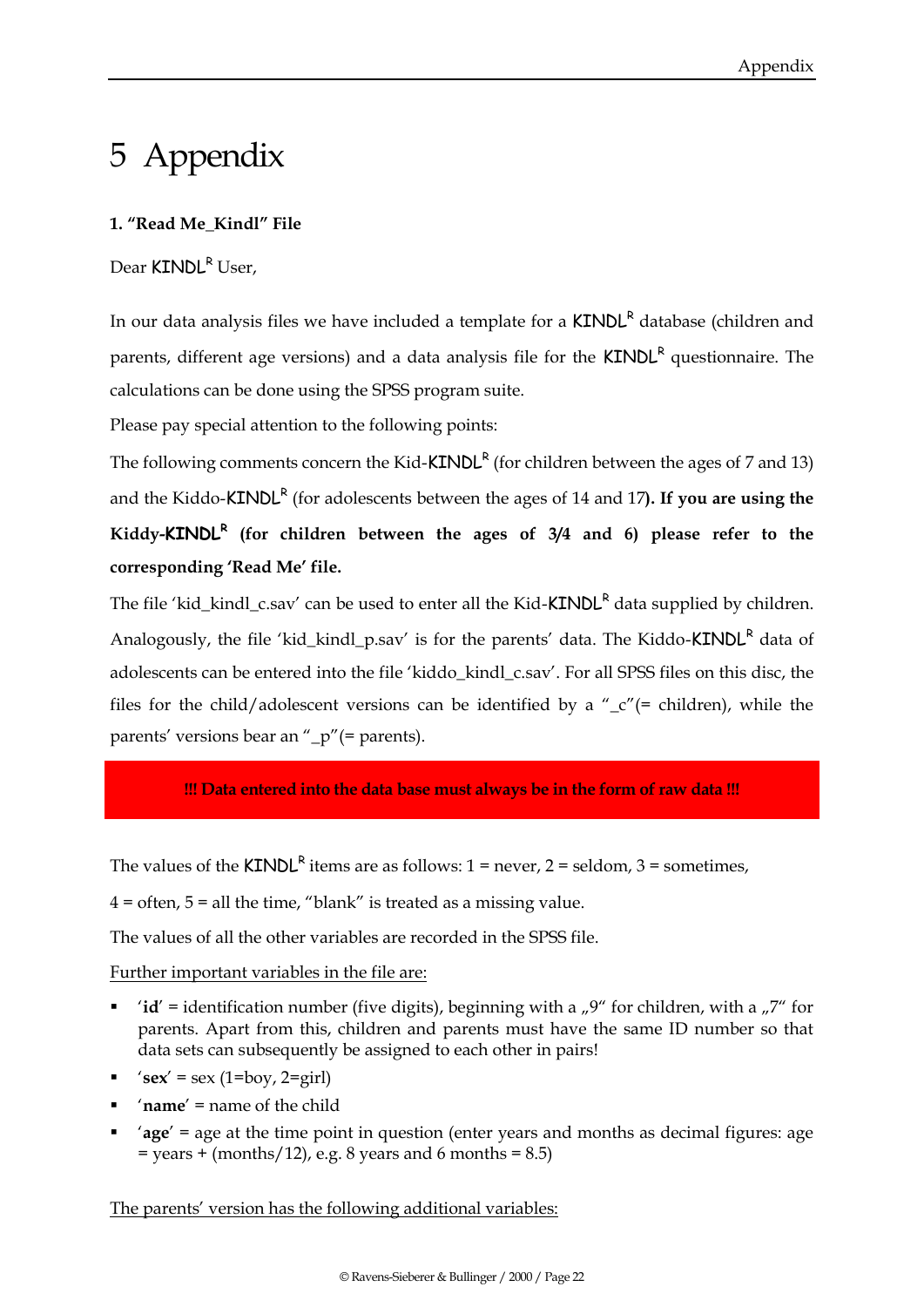# 5 Appendix

#### **1. "Read Me\_Kindl" File**

Dear KINDL<sup>R</sup> User,

In our data analysis files we have included a template for a  $KINDL<sup>R</sup>$  database (children and parents, different age versions) and a data analysis file for the **KINDL<sup>R</sup>** questionnaire. The calculations can be done using the SPSS program suite.

Please pay special attention to the following points:

The following comments concern the Kid- $KINDL<sup>R</sup>$  (for children between the ages of 7 and 13) and the Kiddo-**KINDL<sup>R</sup>** (for adolescents between the ages of 14 and 17). If you are using the **Kiddy-KINDL<sup>R</sup> (for children between the ages of 3/4 and 6) please refer to the corresponding 'Read Me' file.**

The file 'kid kindl c.sav' can be used to enter all the Kid-KINDL<sup>R</sup> data supplied by children. Analogously, the file 'kid kindl p.sav' is for the parents' data. The Kiddo-KINDL<sup>R</sup> data of adolescents can be entered into the file 'kiddo kindl c.sav'. For all SPSS files on this disc, the files for the child/adolescent versions can be identified by a " $c$ "(= children), while the parents' versions bear an "\_p"(= parents).

**!!! Data entered into the data base must always be in the form of raw data !!!**

The values of the  $KINDL<sup>R</sup>$  items are as follows: 1 = never, 2 = seldom, 3 = sometimes,

 $4 =$  often,  $5 =$  all the time, "blank" is treated as a missing value.

The values of all the other variables are recorded in the SPSS file.

Further important variables in the file are:

- '**id'** = identification number (five digits), beginning with a  $\mu$ <sup>9"</sup> for children, with a  $\mu$ 7" for parents. Apart from this, children and parents must have the same ID number so that data sets can subsequently be assigned to each other in pairs!
- $\text{'sex'} = \text{sex } (1 = \text{boy, } 2 = \text{girl})$
- '**name**' = name of the child
- '**age**' = age at the time point in question (enter years and months as decimal figures: age  $=$  years  $+$  (months/12), e.g. 8 years and 6 months  $= 8.5$ )

The parents' version has the following additional variables: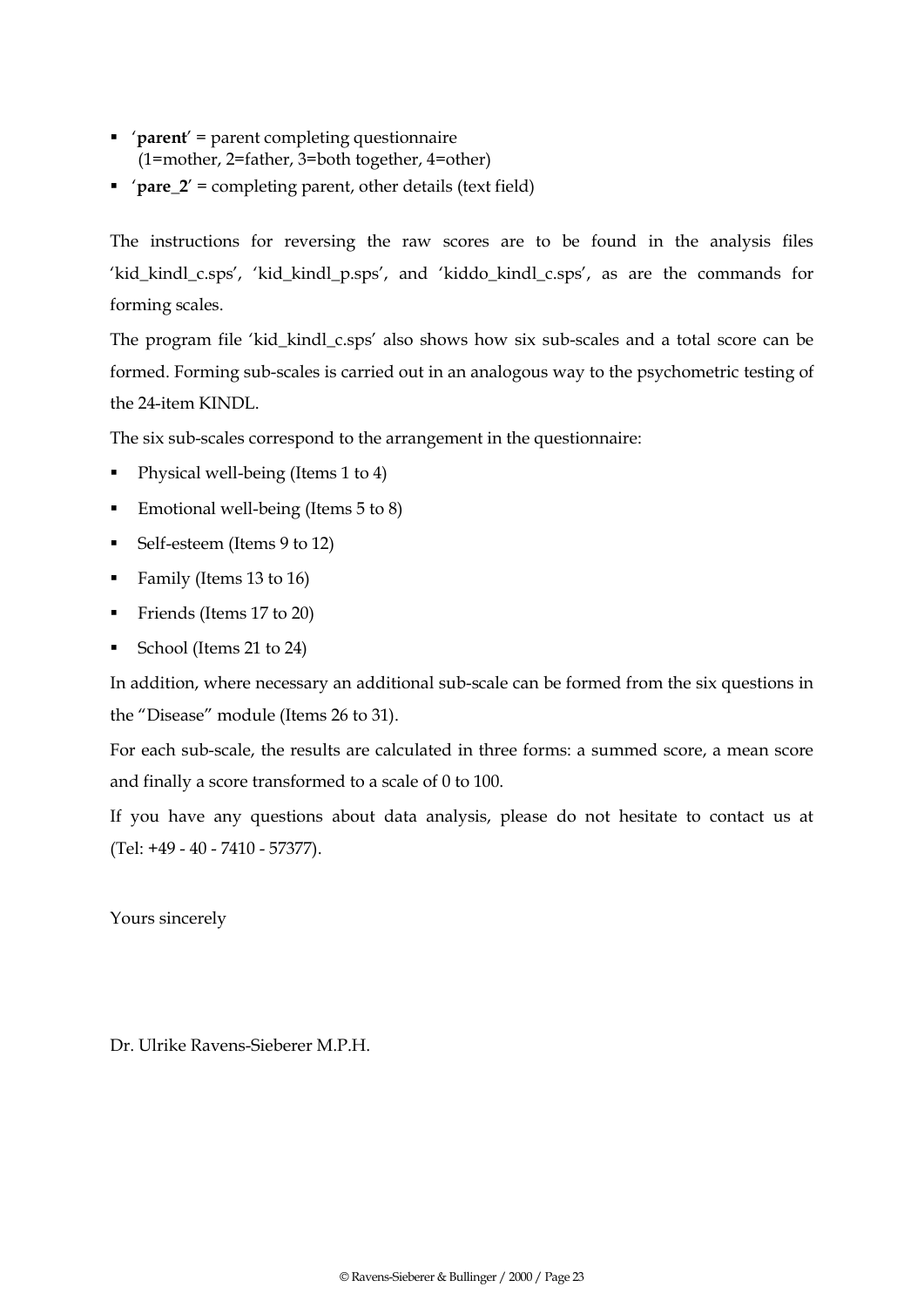- '**parent**' = parent completing questionnaire (1=mother, 2=father, 3=both together, 4=other)
- '**pare\_2**' = completing parent, other details (text field)

The instructions for reversing the raw scores are to be found in the analysis files 'kid\_kindl\_c.sps', 'kid\_kindl\_p.sps', and 'kiddo\_kindl\_c.sps', as are the commands for forming scales.

The program file 'kid\_kindl\_c.sps' also shows how six sub-scales and a total score can be formed. Forming sub-scales is carried out in an analogous way to the psychometric testing of the 24-item KINDL.

The six sub-scales correspond to the arrangement in the questionnaire:

- Physical well-being (Items 1 to 4)
- Emotional well-being (Items 5 to 8)
- Self-esteem (Items 9 to 12)
- Family (Items 13 to 16)
- Friends (Items 17 to 20)
- School (Items 21 to 24)

In addition, where necessary an additional sub-scale can be formed from the six questions in the "Disease" module (Items 26 to 31).

For each sub-scale, the results are calculated in three forms: a summed score, a mean score and finally a score transformed to a scale of 0 to 100.

If you have any questions about data analysis, please do not hesitate to contact us at (Tel: +49 - 40 - 7410 - 57377).

Yours sincerely

Dr. Ulrike Ravens-Sieberer M.P.H.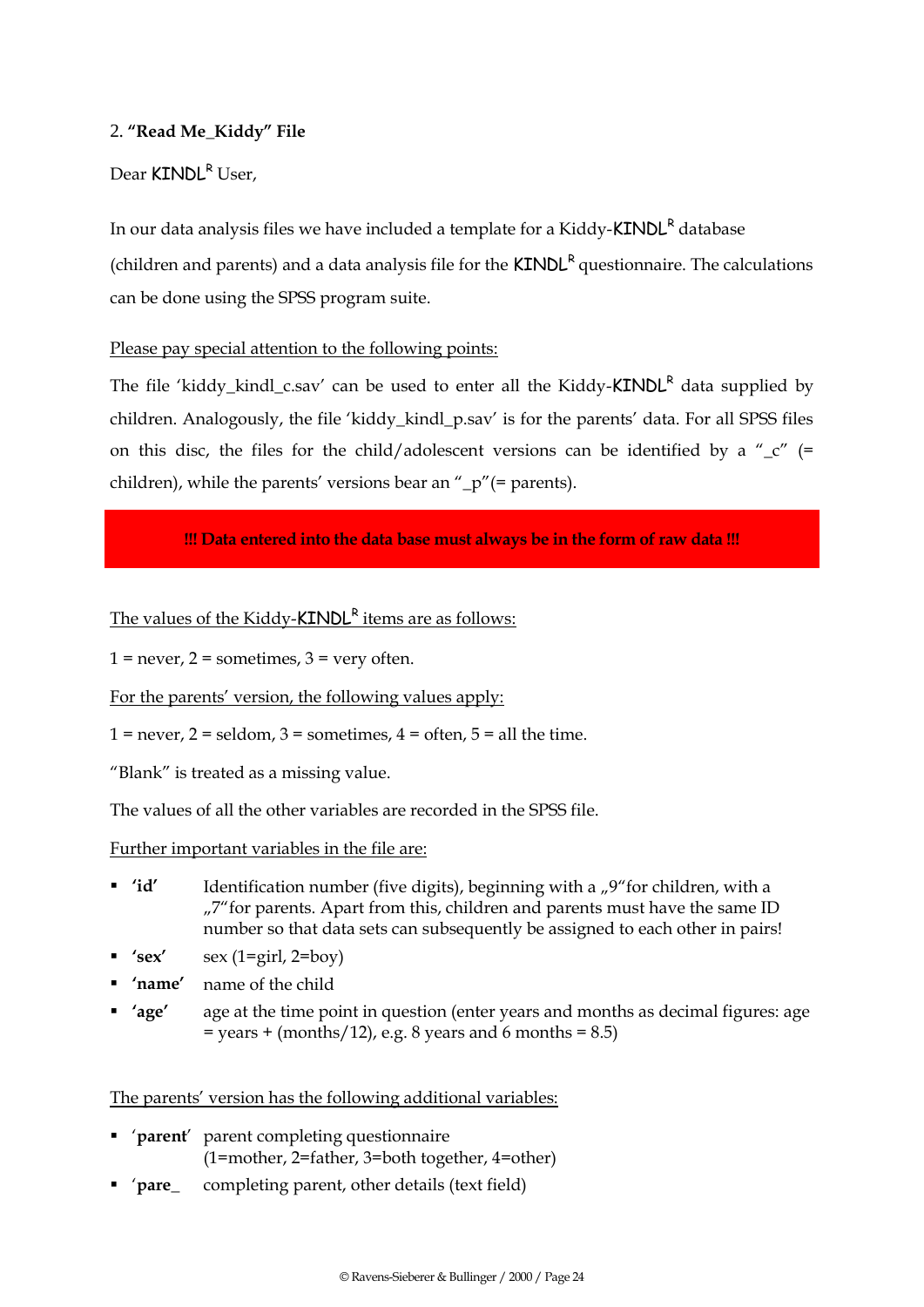#### 2. **"Read Me\_Kiddy" File**

#### Dear KINDL<sup>R</sup> User,

In our data analysis files we have included a template for a Kiddy- $KINDL<sup>R</sup>$  database (children and parents) and a data analysis file for the  $KINDL<sup>R</sup>$  questionnaire. The calculations can be done using the SPSS program suite.

#### Please pay special attention to the following points:

The file 'kiddy kindl c.sav' can be used to enter all the Kiddy- $KINDL<sup>R</sup>$  data supplied by children. Analogously, the file 'kiddy\_kindl\_p.sav' is for the parents' data. For all SPSS files on this disc, the files for the child/adolescent versions can be identified by a " $\frac{c}{c}$ " (= children), while the parents' versions bear an "\_p"(= parents).

#### **!!! Data entered into the data base must always be in the form of raw data !!!**

The values of the Kiddy-KINDL<sup>R</sup> items are as follows:

 $1 =$  never,  $2 =$  sometimes,  $3 =$  very often.

For the parents' version, the following values apply:

 $1 =$  never,  $2 =$  seldom,  $3 =$  sometimes,  $4 =$  often,  $5 =$  all the time.

"Blank" is treated as a missing value.

The values of all the other variables are recorded in the SPSS file.

Further important variables in the file are:

- **'id'** Identification number (five digits), beginning with a <sub>"</sub>,<sup>9"</sup> for children, with a "7"for parents. Apart from this, children and parents must have the same ID number so that data sets can subsequently be assigned to each other in pairs!
- **'sex'** sex (1=girl, 2=boy)
- **'name'** name of the child
- **'age'** age at the time point in question (enter years and months as decimal figures: age  $=$  years  $+$  (months/12), e.g. 8 years and 6 months  $= 8.5$ )

The parents' version has the following additional variables:

- '**parent**' parent completing questionnaire (1=mother, 2=father, 3=both together, 4=other)
- '**pare\_** completing parent, other details (text field)